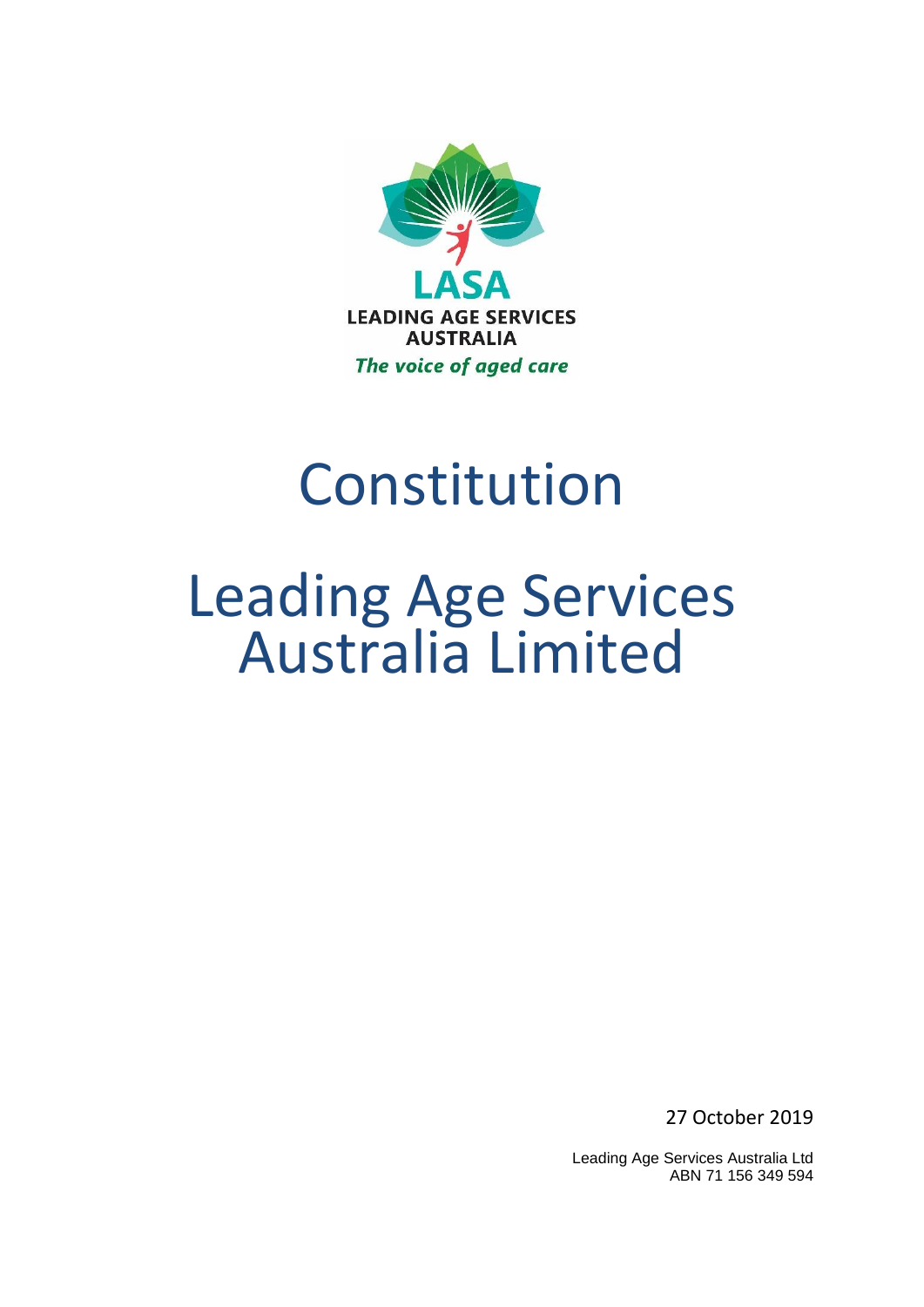

# Constitution

# Leading Age Services Australia Limited

27 October 2019

Leading Age Services Australia Ltd ABN 71 156 349 594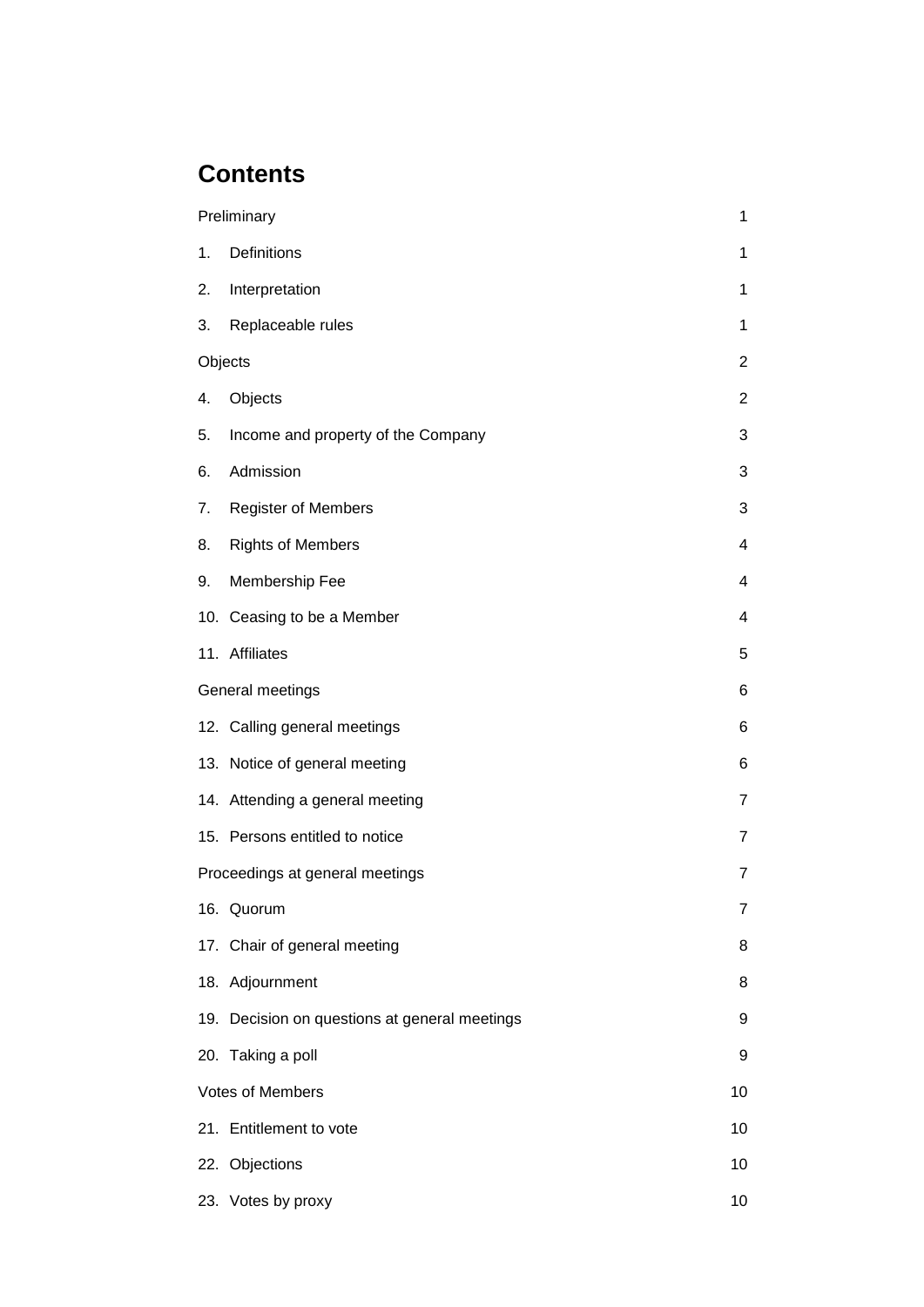## **Contents**

|                                 | Preliminary                                   | 1                |
|---------------------------------|-----------------------------------------------|------------------|
| 1.                              | Definitions                                   | 1                |
| 2.                              | Interpretation                                | 1                |
| 3.                              | Replaceable rules                             | 1                |
| Objects                         |                                               | $\boldsymbol{2}$ |
| 4.                              | Objects                                       | $\overline{2}$   |
| 5.                              | Income and property of the Company            | 3                |
| 6.                              | Admission                                     | 3                |
| 7.                              | <b>Register of Members</b>                    | 3                |
| 8.                              | <b>Rights of Members</b>                      | 4                |
| 9.                              | Membership Fee                                | 4                |
|                                 | 10. Ceasing to be a Member                    | 4                |
|                                 | 11. Affiliates                                | 5                |
| General meetings                |                                               | 6                |
|                                 | 12. Calling general meetings                  | 6                |
|                                 | 13. Notice of general meeting                 | 6                |
|                                 | 14. Attending a general meeting               | $\overline{7}$   |
|                                 | 15. Persons entitled to notice                | $\overline{7}$   |
| Proceedings at general meetings |                                               | $\overline{7}$   |
|                                 | 16. Quorum                                    | 7                |
|                                 | 17. Chair of general meeting                  | 8                |
|                                 | 18. Adjournment                               | 8                |
|                                 | 19. Decision on questions at general meetings | 9                |
|                                 | 20. Taking a poll                             | 9                |
| Votes of Members                |                                               | 10               |
|                                 | 21. Entitlement to vote                       | 10               |
|                                 | 22. Objections                                | 10               |
|                                 | 23. Votes by proxy                            | 10               |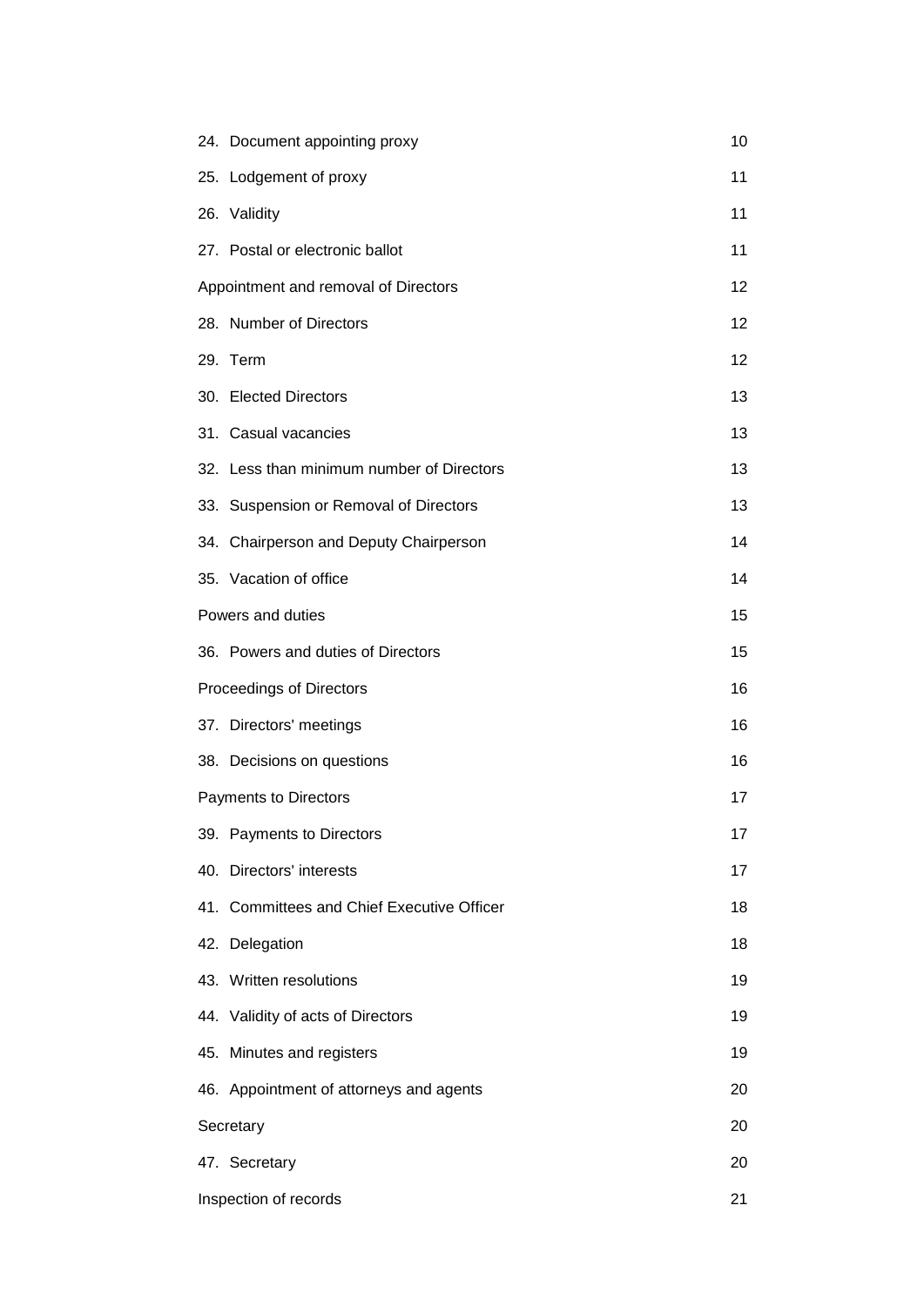| 24. Document appointing proxy              | 10 |
|--------------------------------------------|----|
| 25. Lodgement of proxy                     | 11 |
| 26. Validity                               | 11 |
| 27. Postal or electronic ballot            | 11 |
| Appointment and removal of Directors       |    |
| 28. Number of Directors                    | 12 |
| 29. Term                                   | 12 |
| 30. Elected Directors                      | 13 |
| 31. Casual vacancies                       | 13 |
| 32. Less than minimum number of Directors  | 13 |
| 33. Suspension or Removal of Directors     | 13 |
| 34. Chairperson and Deputy Chairperson     | 14 |
| 35. Vacation of office                     | 14 |
| Powers and duties                          | 15 |
| 36. Powers and duties of Directors         | 15 |
| Proceedings of Directors                   | 16 |
| 37. Directors' meetings                    | 16 |
| 38. Decisions on questions                 | 16 |
| <b>Payments to Directors</b>               |    |
| 39. Payments to Directors                  | 17 |
| 40. Directors' interests                   | 17 |
| 41. Committees and Chief Executive Officer | 18 |
| 42. Delegation                             | 18 |
| 43. Written resolutions                    | 19 |
| 44. Validity of acts of Directors          | 19 |
| 45. Minutes and registers                  | 19 |
| 46. Appointment of attorneys and agents    | 20 |
| Secretary                                  |    |
| 47. Secretary                              | 20 |
| Inspection of records                      | 21 |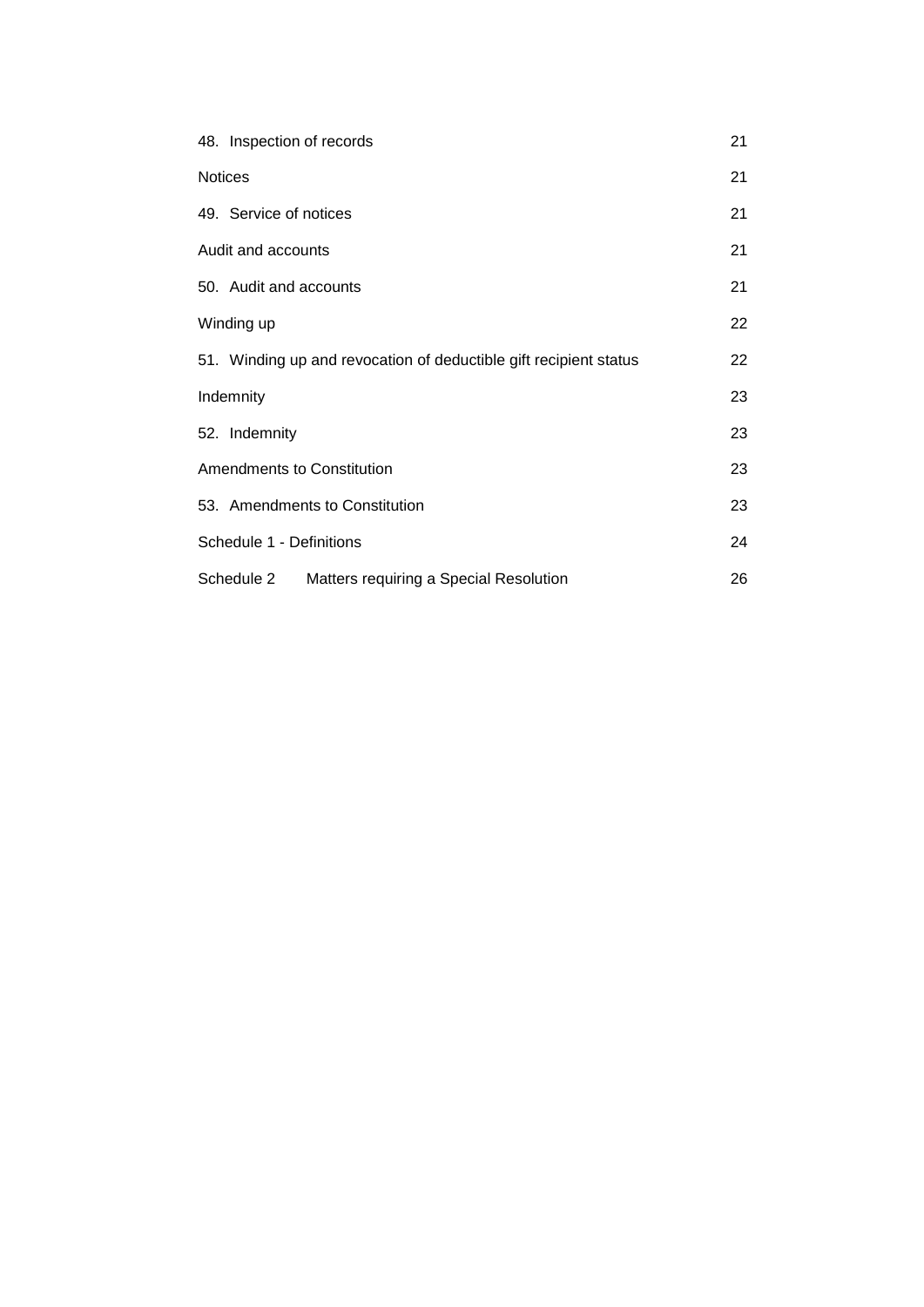|                    | 48. Inspection of records                                         | 21 |  |
|--------------------|-------------------------------------------------------------------|----|--|
| <b>Notices</b>     |                                                                   |    |  |
|                    | 49. Service of notices                                            | 21 |  |
| Audit and accounts |                                                                   | 21 |  |
|                    | 50. Audit and accounts                                            | 21 |  |
|                    | Winding up                                                        |    |  |
|                    | 51. Winding up and revocation of deductible gift recipient status | 22 |  |
| Indemnity          |                                                                   |    |  |
|                    | 52. Indemnity                                                     | 23 |  |
|                    | Amendments to Constitution                                        |    |  |
|                    | 53. Amendments to Constitution                                    | 23 |  |
|                    | Schedule 1 - Definitions                                          |    |  |
|                    | Matters requiring a Special Resolution<br>Schedule 2              | 26 |  |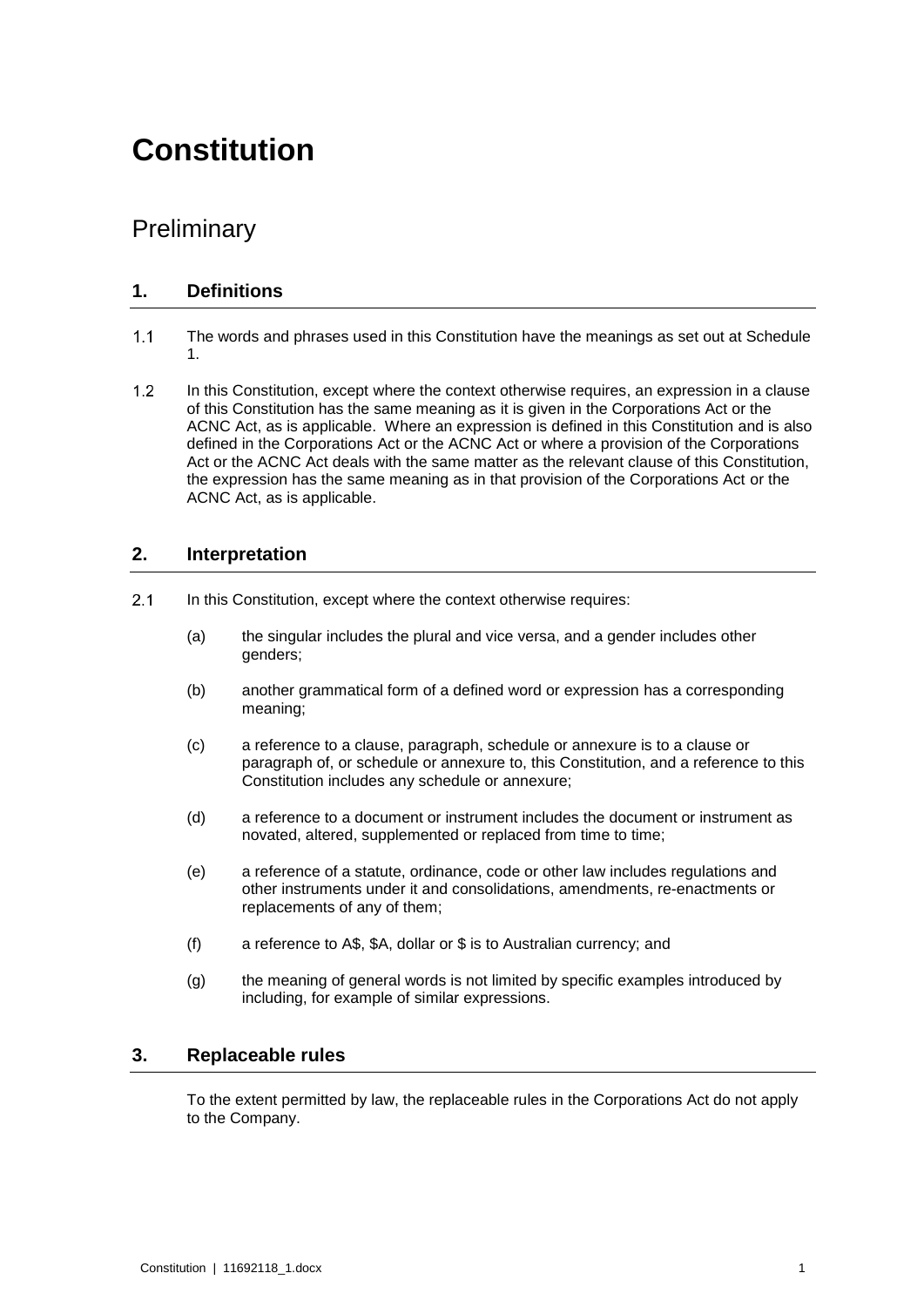## **Constitution**

## **Preliminary**

#### **1. Definitions**

- $1.1$ The words and phrases used in this Constitution have the meanings as set out at Schedule 1.
- $1.2$ In this Constitution, except where the context otherwise requires, an expression in a clause of this Constitution has the same meaning as it is given in the Corporations Act or the ACNC Act, as is applicable. Where an expression is defined in this Constitution and is also defined in the Corporations Act or the ACNC Act or where a provision of the Corporations Act or the ACNC Act deals with the same matter as the relevant clause of this Constitution, the expression has the same meaning as in that provision of the Corporations Act or the ACNC Act, as is applicable.

#### **2. Interpretation**

- $2.1$ In this Constitution, except where the context otherwise requires:
	- (a) the singular includes the plural and vice versa, and a gender includes other genders;
	- (b) another grammatical form of a defined word or expression has a corresponding meaning;
	- (c) a reference to a clause, paragraph, schedule or annexure is to a clause or paragraph of, or schedule or annexure to, this Constitution, and a reference to this Constitution includes any schedule or annexure;
	- (d) a reference to a document or instrument includes the document or instrument as novated, altered, supplemented or replaced from time to time;
	- (e) a reference of a statute, ordinance, code or other law includes regulations and other instruments under it and consolidations, amendments, re-enactments or replacements of any of them;
	- (f) a reference to A\$, \$A, dollar or \$ is to Australian currency; and
	- (g) the meaning of general words is not limited by specific examples introduced by including, for example of similar expressions.

#### **3. Replaceable rules**

To the extent permitted by law, the replaceable rules in the Corporations Act do not apply to the Company.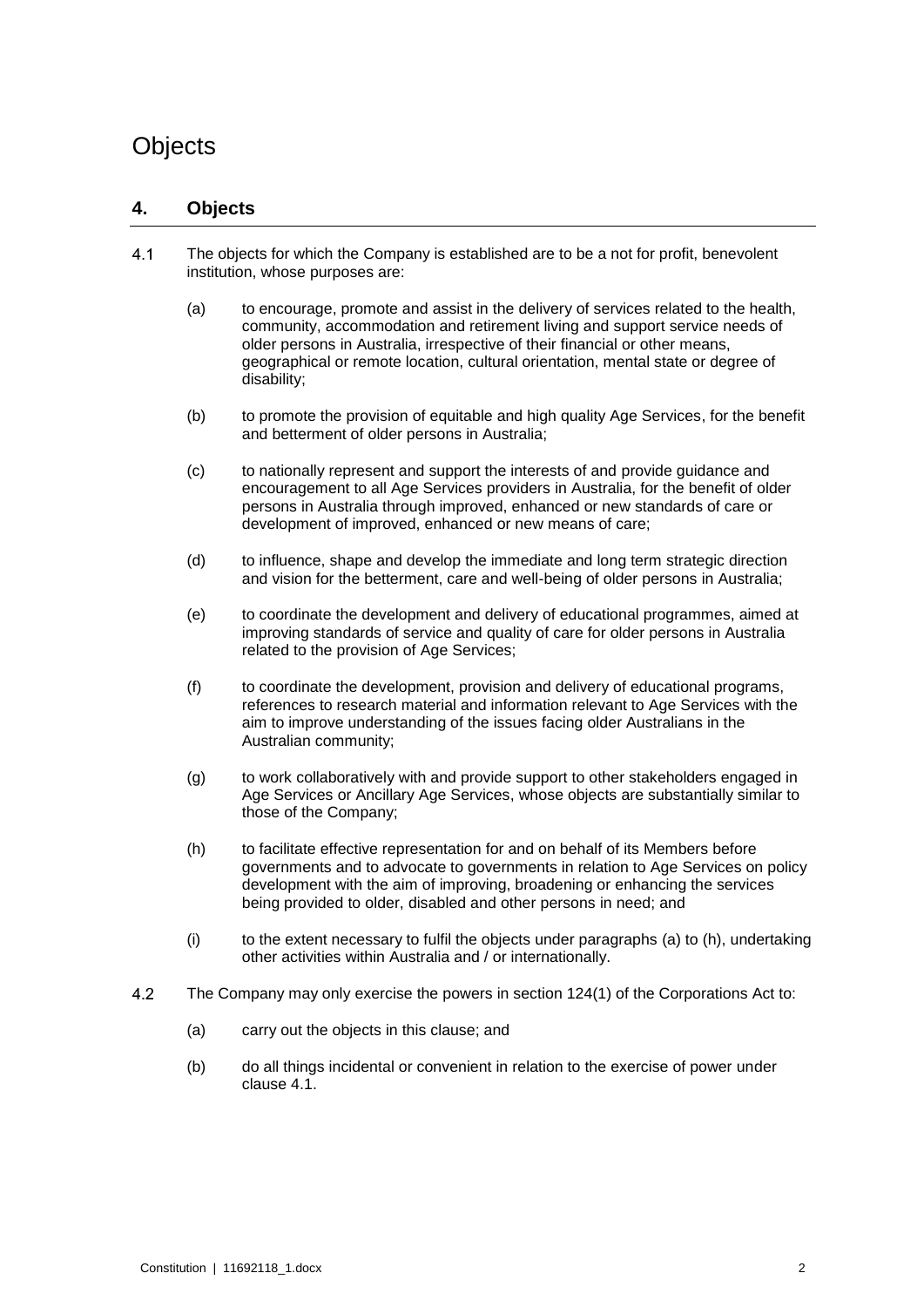## <span id="page-5-3"></span>**Objects**

#### **4. Objects**

- <span id="page-5-2"></span><span id="page-5-0"></span> $4.1$ The objects for which the Company is established are to be a not for profit, benevolent institution, whose purposes are:
	- (a) to encourage, promote and assist in the delivery of services related to the health, community, accommodation and retirement living and support service needs of older persons in Australia, irrespective of their financial or other means, geographical or remote location, cultural orientation, mental state or degree of disability;
	- (b) to promote the provision of equitable and high quality Age Services, for the benefit and betterment of older persons in Australia;
	- (c) to nationally represent and support the interests of and provide guidance and encouragement to all Age Services providers in Australia, for the benefit of older persons in Australia through improved, enhanced or new standards of care or development of improved, enhanced or new means of care;
	- (d) to influence, shape and develop the immediate and long term strategic direction and vision for the betterment, care and well-being of older persons in Australia;
	- (e) to coordinate the development and delivery of educational programmes, aimed at improving standards of service and quality of care for older persons in Australia related to the provision of Age Services;
	- (f) to coordinate the development, provision and delivery of educational programs, references to research material and information relevant to Age Services with the aim to improve understanding of the issues facing older Australians in the Australian community;
	- (g) to work collaboratively with and provide support to other stakeholders engaged in Age Services or Ancillary Age Services, whose objects are substantially similar to those of the Company;
	- (h) to facilitate effective representation for and on behalf of its Members before governments and to advocate to governments in relation to Age Services on policy development with the aim of improving, broadening or enhancing the services being provided to older, disabled and other persons in need; and
	- (i) to the extent necessary to fulfil the objects under paragraphs [\(a\)](#page-5-0) to [\(h\),](#page-5-1) undertaking other activities within Australia and / or internationally.
- <span id="page-5-1"></span>4.2 The Company may only exercise the powers in section 124(1) of the Corporations Act to:
	- (a) carry out the objects in this clause; and
	- (b) do all things incidental or convenient in relation to the exercise of power under clause [4.1.](#page-5-2)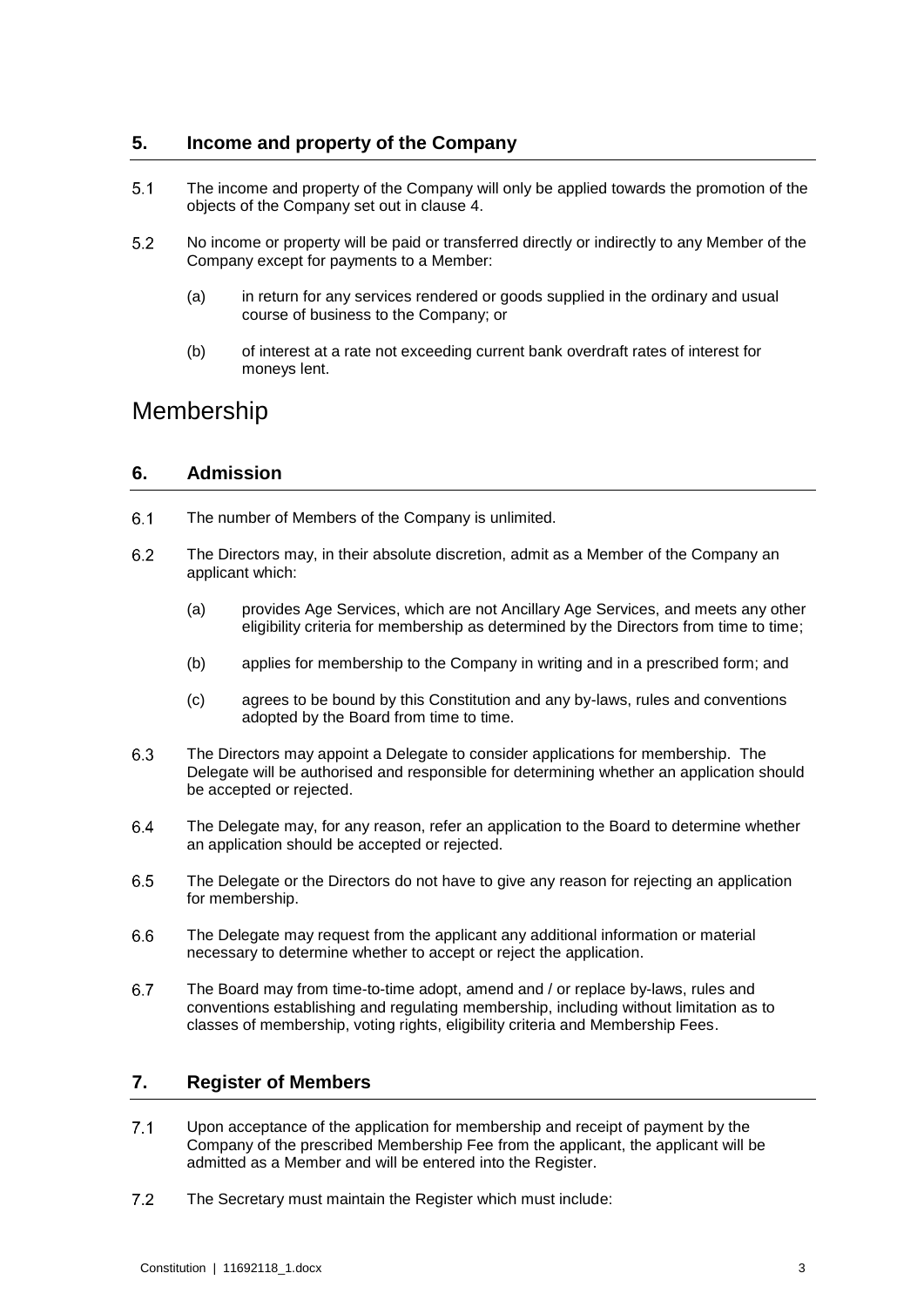#### **5. Income and property of the Company**

- $5.1$ The income and property of the Company will only be applied towards the promotion of the objects of the Company set out in clause [4.](#page-5-3)
- $5.2$ No income or property will be paid or transferred directly or indirectly to any Member of the Company except for payments to a Member:
	- (a) in return for any services rendered or goods supplied in the ordinary and usual course of business to the Company; or
	- (b) of interest at a rate not exceeding current bank overdraft rates of interest for moneys lent.

## Membership

#### **6. Admission**

- $6.1$ The number of Members of the Company is unlimited.
- <span id="page-6-0"></span> $6.2$ The Directors may, in their absolute discretion, admit as a Member of the Company an applicant which:
	- (a) provides Age Services, which are not Ancillary Age Services, and meets any other eligibility criteria for membership as determined by the Directors from time to time;
	- (b) applies for membership to the Company in writing and in a prescribed form; and
	- (c) agrees to be bound by this Constitution and any by-laws, rules and conventions adopted by the Board from time to time.
- 6.3 The Directors may appoint a Delegate to consider applications for membership. The Delegate will be authorised and responsible for determining whether an application should be accepted or rejected.
- 6.4 The Delegate may, for any reason, refer an application to the Board to determine whether an application should be accepted or rejected.
- 6.5 The Delegate or the Directors do not have to give any reason for rejecting an application for membership.
- The Delegate may request from the applicant any additional information or material 6.6 necessary to determine whether to accept or reject the application.
- 6.7 The Board may from time-to-time adopt, amend and / or replace by-laws, rules and conventions establishing and regulating membership, including without limitation as to classes of membership, voting rights, eligibility criteria and Membership Fees.

#### **7. Register of Members**

- $7.1$ Upon acceptance of the application for membership and receipt of payment by the Company of the prescribed Membership Fee from the applicant, the applicant will be admitted as a Member and will be entered into the Register.
- $7.2$ The Secretary must maintain the Register which must include: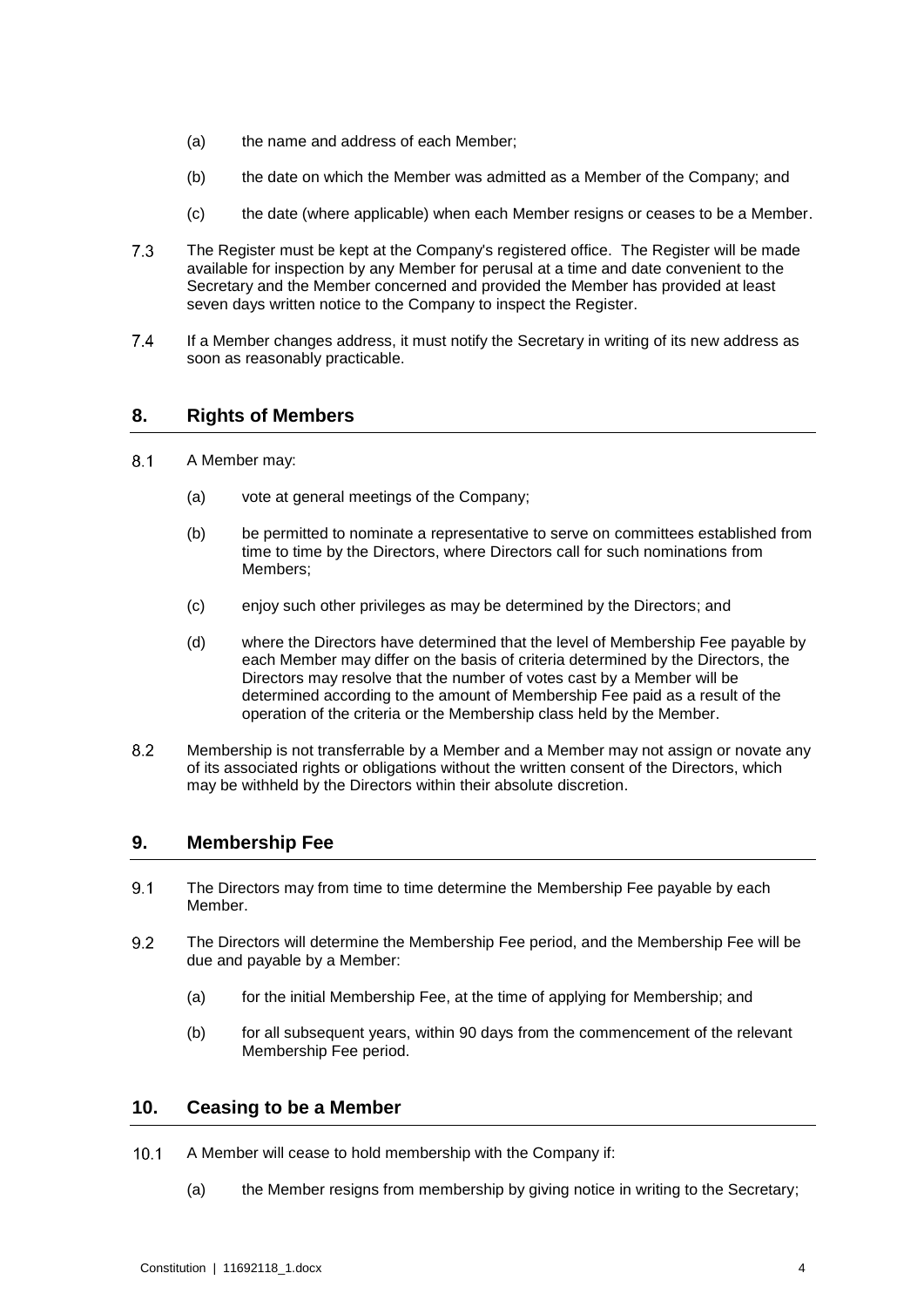- (a) the name and address of each Member;
- (b) the date on which the Member was admitted as a Member of the Company; and
- (c) the date (where applicable) when each Member resigns or ceases to be a Member.
- $7.3$ The Register must be kept at the Company's registered office. The Register will be made available for inspection by any Member for perusal at a time and date convenient to the Secretary and the Member concerned and provided the Member has provided at least seven days written notice to the Company to inspect the Register.
- 7.4 If a Member changes address, it must notify the Secretary in writing of its new address as soon as reasonably practicable.

#### **8. Rights of Members**

- $8.1$ A Member may:
	- (a) vote at general meetings of the Company;
	- (b) be permitted to nominate a representative to serve on committees established from time to time by the Directors, where Directors call for such nominations from Members;
	- (c) enjoy such other privileges as may be determined by the Directors; and
	- (d) where the Directors have determined that the level of Membership Fee payable by each Member may differ on the basis of criteria determined by the Directors, the Directors may resolve that the number of votes cast by a Member will be determined according to the amount of Membership Fee paid as a result of the operation of the criteria or the Membership class held by the Member.
- 8.2 Membership is not transferrable by a Member and a Member may not assign or novate any of its associated rights or obligations without the written consent of the Directors, which may be withheld by the Directors within their absolute discretion.

#### <span id="page-7-1"></span>**9. Membership Fee**

- $9.1$ The Directors may from time to time determine the Membership Fee payable by each Member.
- <span id="page-7-0"></span>The Directors will determine the Membership Fee period, and the Membership Fee will be  $9.2$ due and payable by a Member:
	- (a) for the initial Membership Fee, at the time of applying for Membership; and
	- (b) for all subsequent years, within 90 days from the commencement of the relevant Membership Fee period.

#### **10. Ceasing to be a Member**

- $10.1$ A Member will cease to hold membership with the Company if:
	- (a) the Member resigns from membership by giving notice in writing to the Secretary;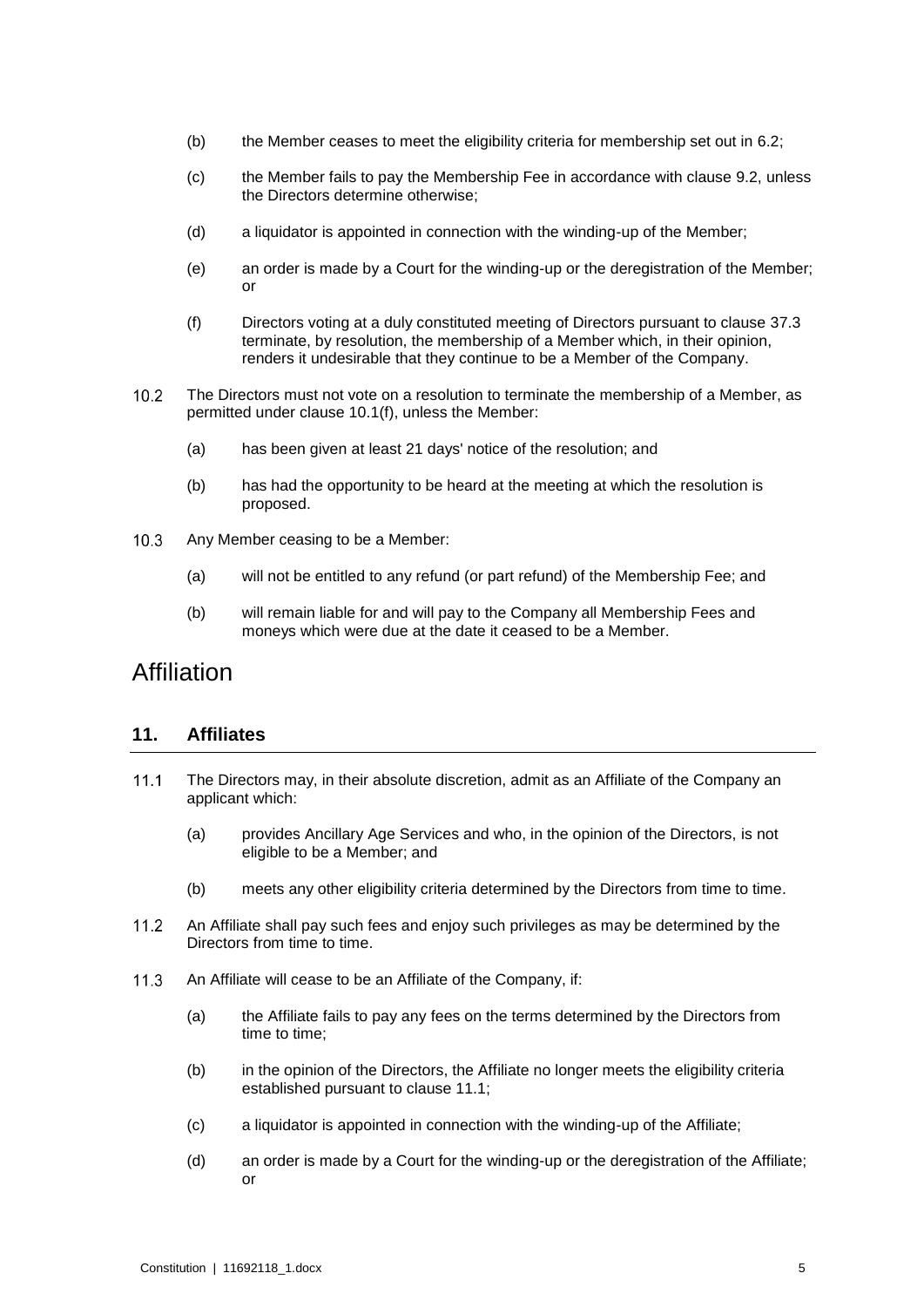- (b) the Member ceases to meet the eligibility criteria for membership set out in [6.2;](#page-6-0)
- (c) the Member fails to pay the Membership Fee in accordance with clause [9.2,](#page-7-0) unless the Directors determine otherwise;
- (d) a liquidator is appointed in connection with the winding-up of the Member;
- (e) an order is made by a Court for the winding-up or the deregistration of the Member; or
- <span id="page-8-0"></span>(f) Directors voting at a duly constituted meeting of Directors pursuant to clause [37.3](#page-19-0) terminate, by resolution, the membership of a Member which, in their opinion, renders it undesirable that they continue to be a Member of the Company.
- $10.2$ The Directors must not vote on a resolution to terminate the membership of a Member, as permitted under clause [10.1\(f\),](#page-8-0) unless the Member:
	- (a) has been given at least 21 days' notice of the resolution; and
	- (b) has had the opportunity to be heard at the meeting at which the resolution is proposed.
- $10.3$ Any Member ceasing to be a Member:
	- (a) will not be entitled to any refund (or part refund) of the Membership Fee; and
	- (b) will remain liable for and will pay to the Company all Membership Fees and moneys which were due at the date it ceased to be a Member.

## Affiliation

#### **11. Affiliates**

- <span id="page-8-1"></span> $11.1$ The Directors may, in their absolute discretion, admit as an Affiliate of the Company an applicant which:
	- (a) provides Ancillary Age Services and who, in the opinion of the Directors, is not eligible to be a Member; and
	- (b) meets any other eligibility criteria determined by the Directors from time to time.
- $11.2$ An Affiliate shall pay such fees and enjoy such privileges as may be determined by the Directors from time to time.
- $11.3$ An Affiliate will cease to be an Affiliate of the Company, if:
	- (a) the Affiliate fails to pay any fees on the terms determined by the Directors from time to time;
	- (b) in the opinion of the Directors, the Affiliate no longer meets the eligibility criteria established pursuant to clause [11.1;](#page-8-1)
	- (c) a liquidator is appointed in connection with the winding-up of the Affiliate;
	- (d) an order is made by a Court for the winding-up or the deregistration of the Affiliate; or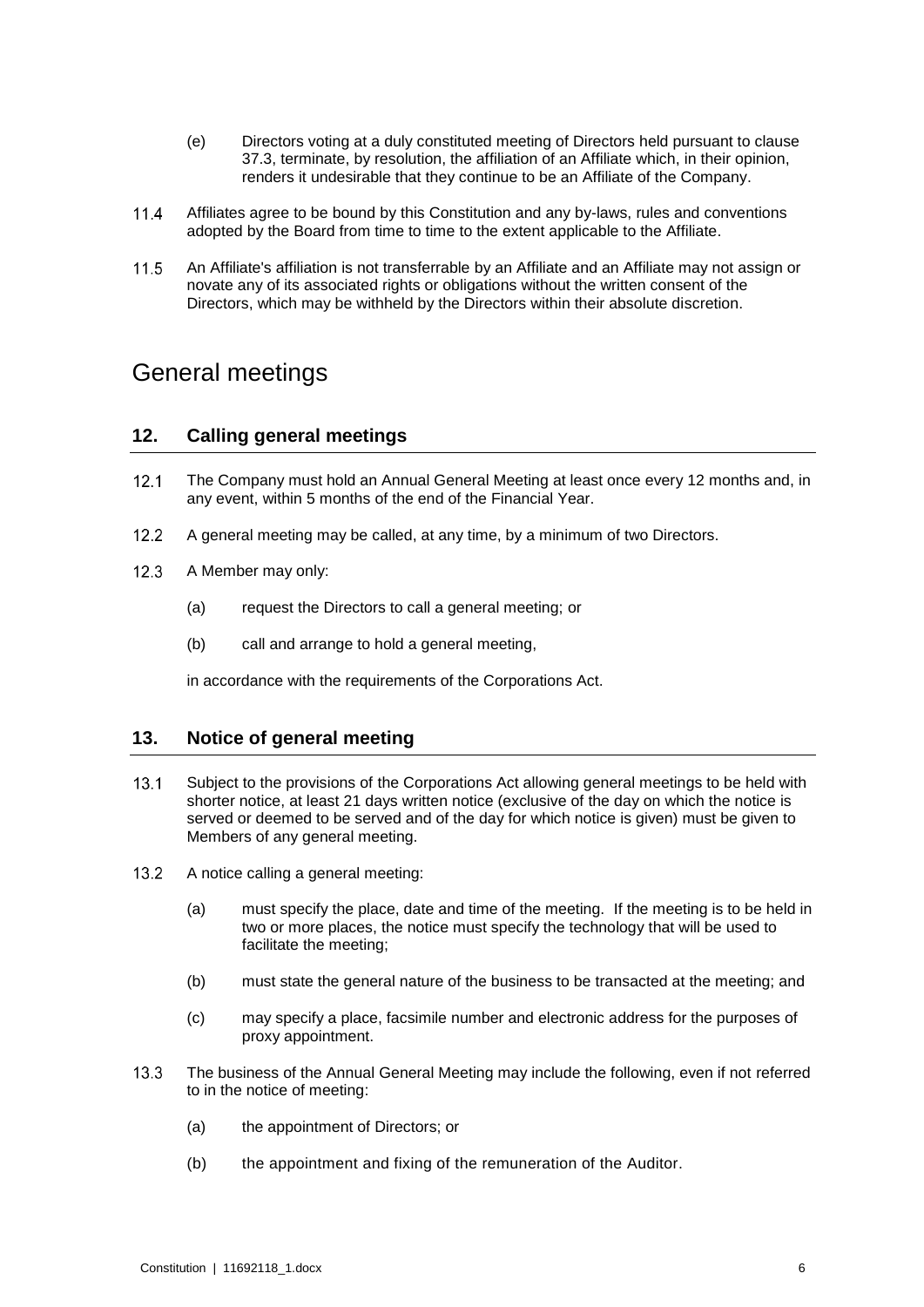- (e) Directors voting at a duly constituted meeting of Directors held pursuant to clause [37.3,](#page-19-0) terminate, by resolution, the affiliation of an Affiliate which, in their opinion, renders it undesirable that they continue to be an Affiliate of the Company.
- $11.4$ Affiliates agree to be bound by this Constitution and any by-laws, rules and conventions adopted by the Board from time to time to the extent applicable to the Affiliate.
- $11.5$ An Affiliate's affiliation is not transferrable by an Affiliate and an Affiliate may not assign or novate any of its associated rights or obligations without the written consent of the Directors, which may be withheld by the Directors within their absolute discretion.

## General meetings

#### **12. Calling general meetings**

- $12.1$ The Company must hold an Annual General Meeting at least once every 12 months and, in any event, within 5 months of the end of the Financial Year.
- $12.2$ A general meeting may be called, at any time, by a minimum of two Directors.
- <span id="page-9-0"></span> $12.3$ A Member may only:
	- (a) request the Directors to call a general meeting; or
	- (b) call and arrange to hold a general meeting,

in accordance with the requirements of the Corporations Act.

#### <span id="page-9-3"></span>**13. Notice of general meeting**

- <span id="page-9-2"></span> $13.1$ Subject to the provisions of the Corporations Act allowing general meetings to be held with shorter notice, at least 21 days written notice (exclusive of the day on which the notice is served or deemed to be served and of the day for which notice is given) must be given to Members of any general meeting.
- <span id="page-9-1"></span> $13.2$ A notice calling a general meeting:
	- (a) must specify the place, date and time of the meeting. If the meeting is to be held in two or more places, the notice must specify the technology that will be used to facilitate the meeting;
	- (b) must state the general nature of the business to be transacted at the meeting; and
	- (c) may specify a place, facsimile number and electronic address for the purposes of proxy appointment.
- $13.3$ The business of the Annual General Meeting may include the following, even if not referred to in the notice of meeting:
	- (a) the appointment of Directors; or
	- (b) the appointment and fixing of the remuneration of the Auditor.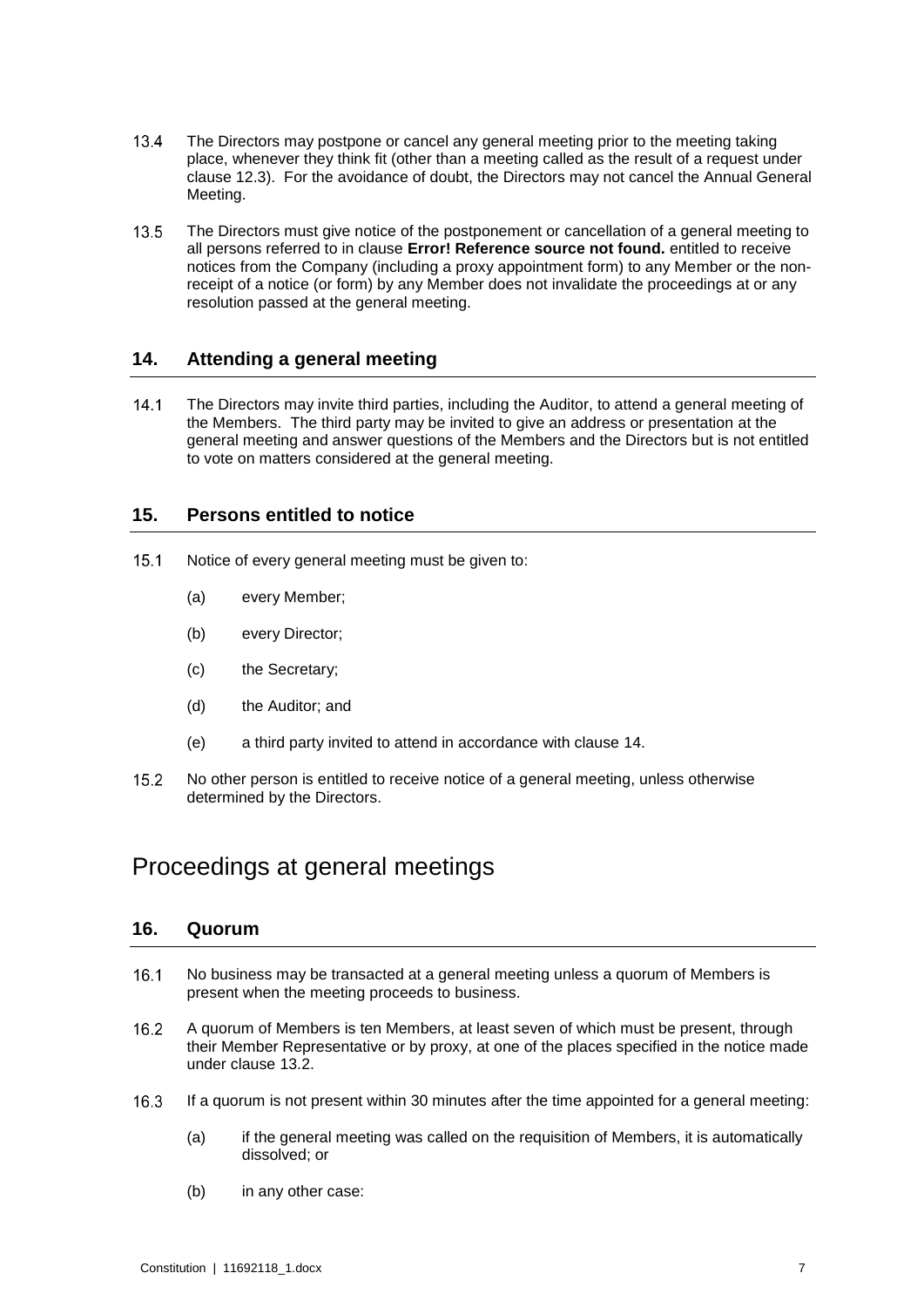- The Directors may postpone or cancel any general meeting prior to the meeting taking  $13.4$ place, whenever they think fit (other than a meeting called as the result of a request under clause [12.3\)](#page-9-0). For the avoidance of doubt, the Directors may not cancel the Annual General Meeting.
- $13.5$ The Directors must give notice of the postponement or cancellation of a general meeting to all persons referred to in clause **Error! Reference source not found.** entitled to receive notices from the Company (including a proxy appointment form) to any Member or the nonreceipt of a notice (or form) by any Member does not invalidate the proceedings at or any resolution passed at the general meeting.

#### <span id="page-10-0"></span>**14. Attending a general meeting**

 $14.1$ The Directors may invite third parties, including the Auditor, to attend a general meeting of the Members. The third party may be invited to give an address or presentation at the general meeting and answer questions of the Members and the Directors but is not entitled to vote on matters considered at the general meeting.

#### **15. Persons entitled to notice**

- $15.1$ Notice of every general meeting must be given to:
	- (a) every Member;
	- (b) every Director;
	- (c) the Secretary;
	- (d) the Auditor; and
	- (e) a third party invited to attend in accordance with clause [14.](#page-10-0)
- $15.2$ No other person is entitled to receive notice of a general meeting, unless otherwise determined by the Directors.

## Proceedings at general meetings

#### **16. Quorum**

- $16.1$ No business may be transacted at a general meeting unless a quorum of Members is present when the meeting proceeds to business.
- A quorum of Members is ten Members, at least seven of which must be present, through 16.2 their Member Representative or by proxy, at one of the places specified in the notice made under clause [13.2.](#page-9-1)
- $16.3$ If a quorum is not present within 30 minutes after the time appointed for a general meeting:
	- (a) if the general meeting was called on the requisition of Members, it is automatically dissolved; or
	- (b) in any other case: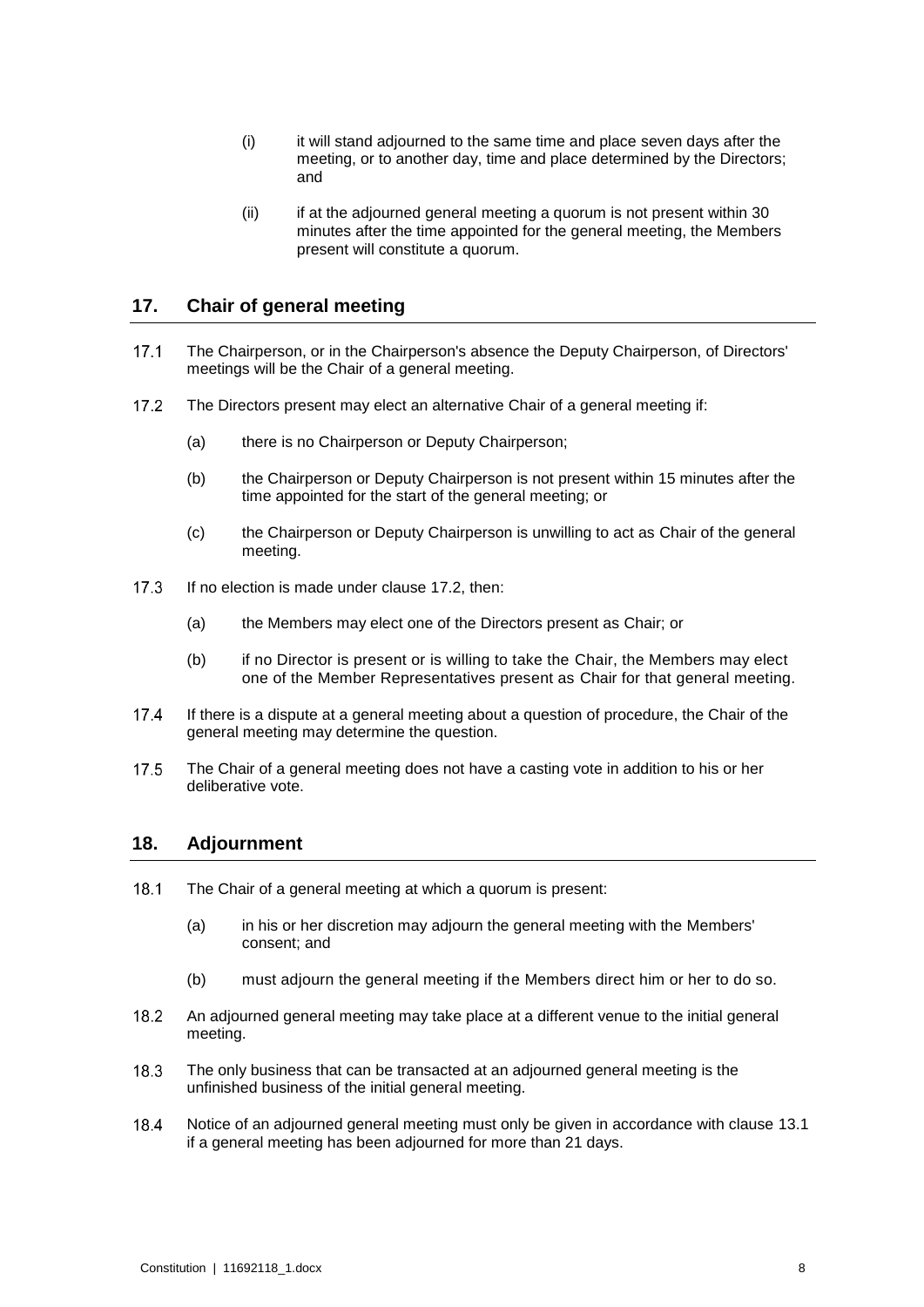- (i) it will stand adjourned to the same time and place seven days after the meeting, or to another day, time and place determined by the Directors; and
- (ii) if at the adjourned general meeting a quorum is not present within 30 minutes after the time appointed for the general meeting, the Members present will constitute a quorum.

#### **17. Chair of general meeting**

- The Chairperson, or in the Chairperson's absence the Deputy Chairperson, of Directors'  $17.1$ meetings will be the Chair of a general meeting.
- <span id="page-11-0"></span> $17.2$ The Directors present may elect an alternative Chair of a general meeting if:
	- (a) there is no Chairperson or Deputy Chairperson;
	- (b) the Chairperson or Deputy Chairperson is not present within 15 minutes after the time appointed for the start of the general meeting; or
	- (c) the Chairperson or Deputy Chairperson is unwilling to act as Chair of the general meeting.
- $17.3$ If no election is made under clause [17.2,](#page-11-0) then:
	- (a) the Members may elect one of the Directors present as Chair; or
	- (b) if no Director is present or is willing to take the Chair, the Members may elect one of the Member Representatives present as Chair for that general meeting.
- If there is a dispute at a general meeting about a question of procedure, the Chair of the 17.4 general meeting may determine the question.
- 17.5 The Chair of a general meeting does not have a casting vote in addition to his or her deliberative vote.

#### **18. Adjournment**

- 18.1 The Chair of a general meeting at which a quorum is present:
	- (a) in his or her discretion may adjourn the general meeting with the Members' consent; and
	- (b) must adjourn the general meeting if the Members direct him or her to do so.
- 18.2 An adjourned general meeting may take place at a different venue to the initial general meeting.
- $18.3$ The only business that can be transacted at an adjourned general meeting is the unfinished business of the initial general meeting.
- 18.4 Notice of an adjourned general meeting must only be given in accordance with clause [13.1](#page-9-2) if a general meeting has been adjourned for more than 21 days.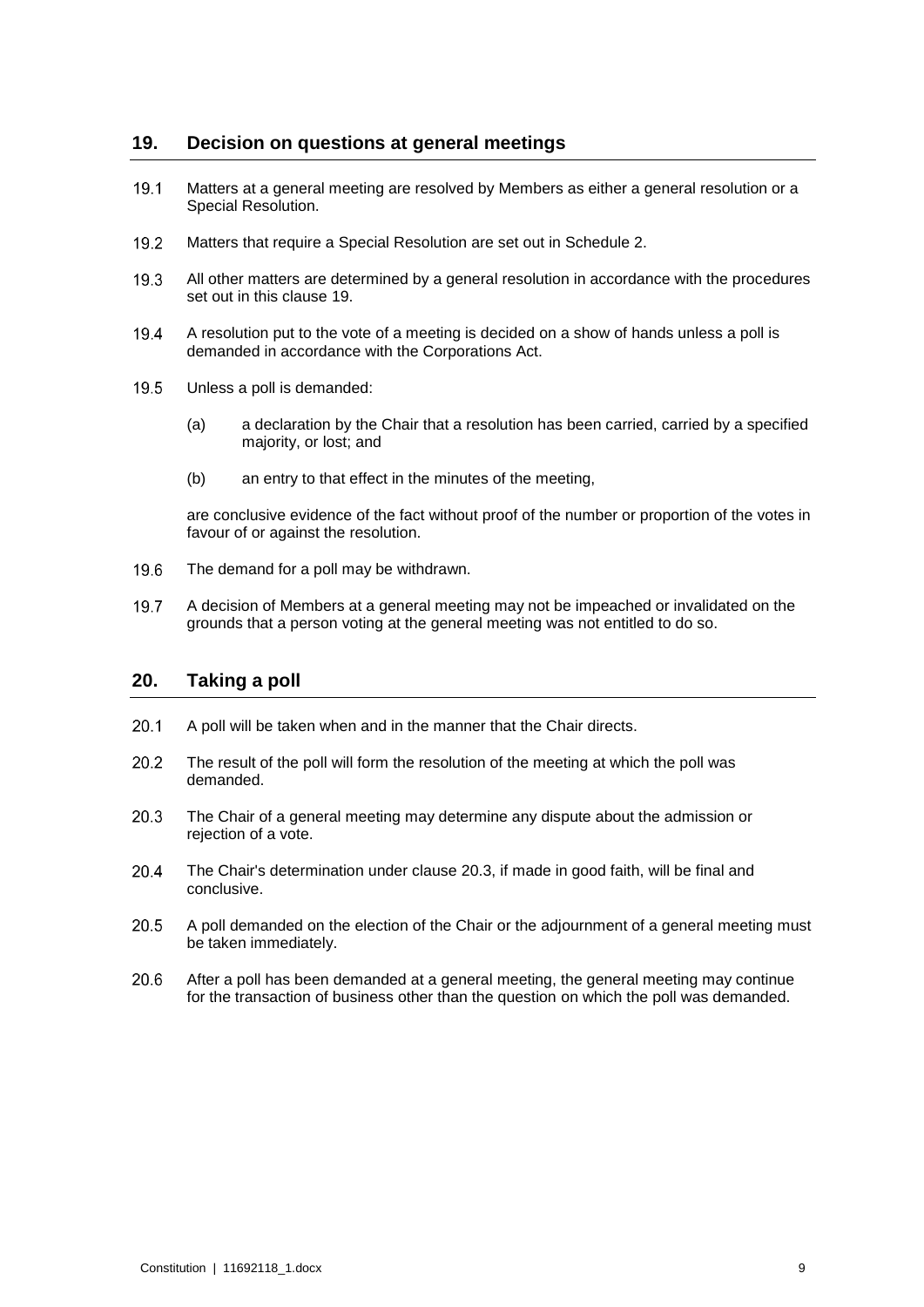#### <span id="page-12-0"></span>**19. Decision on questions at general meetings**

- 19.1 Matters at a general meeting are resolved by Members as either a general resolution or a Special Resolution.
- 19.2 Matters that require a Special Resolution are set out in Schedule 2.
- $19.3$ All other matters are determined by a general resolution in accordance with the procedures set out in this clause [19.](#page-12-0)
- A resolution put to the vote of a meeting is decided on a show of hands unless a poll is 19.4 demanded in accordance with the Corporations Act.
- $19.5$ Unless a poll is demanded:
	- (a) a declaration by the Chair that a resolution has been carried, carried by a specified majority, or lost; and
	- (b) an entry to that effect in the minutes of the meeting,

are conclusive evidence of the fact without proof of the number or proportion of the votes in favour of or against the resolution.

- 19.6 The demand for a poll may be withdrawn.
- 19.7 A decision of Members at a general meeting may not be impeached or invalidated on the grounds that a person voting at the general meeting was not entitled to do so.

#### **20. Taking a poll**

- $20.1$ A poll will be taken when and in the manner that the Chair directs.
- 20.2 The result of the poll will form the resolution of the meeting at which the poll was demanded.
- <span id="page-12-1"></span> $20.3$ The Chair of a general meeting may determine any dispute about the admission or rejection of a vote.
- 20.4 The Chair's determination under clause [20.3,](#page-12-1) if made in good faith, will be final and conclusive.
- $20.5$ A poll demanded on the election of the Chair or the adjournment of a general meeting must be taken immediately.
- $20.6$ After a poll has been demanded at a general meeting, the general meeting may continue for the transaction of business other than the question on which the poll was demanded.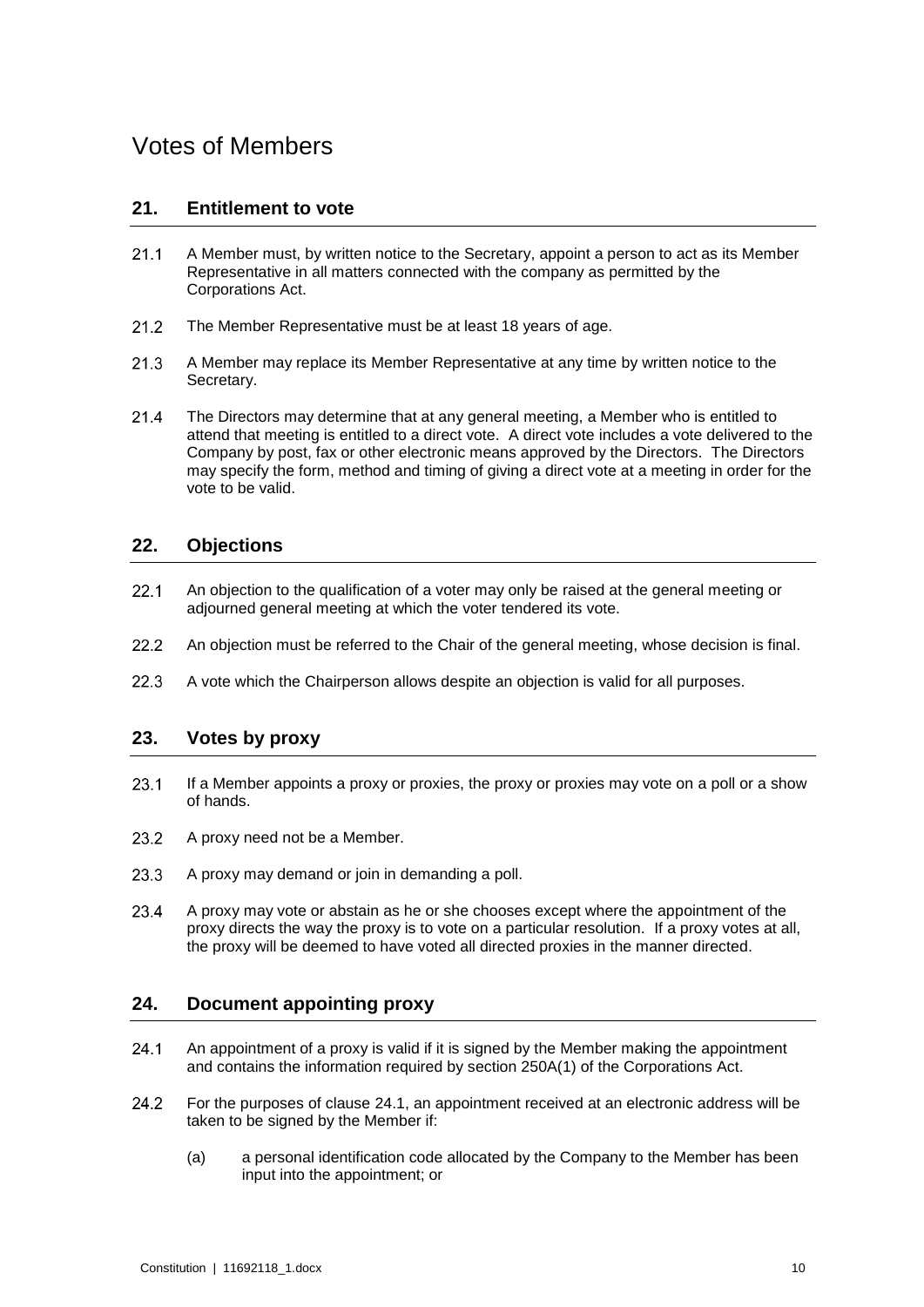## Votes of Members

#### **21. Entitlement to vote**

- <span id="page-13-1"></span> $21.1$ A Member must, by written notice to the Secretary, appoint a person to act as its Member Representative in all matters connected with the company as permitted by the Corporations Act.
- $21.2$ The Member Representative must be at least 18 years of age.
- $21.3$ A Member may replace its Member Representative at any time by written notice to the Secretary.
- 21.4 The Directors may determine that at any general meeting, a Member who is entitled to attend that meeting is entitled to a direct vote. A direct vote includes a vote delivered to the Company by post, fax or other electronic means approved by the Directors. The Directors may specify the form, method and timing of giving a direct vote at a meeting in order for the vote to be valid.

#### **22. Objections**

- $22.1$ An objection to the qualification of a voter may only be raised at the general meeting or adjourned general meeting at which the voter tendered its vote.
- $22.2$ An objection must be referred to the Chair of the general meeting, whose decision is final.
- $22.3$ A vote which the Chairperson allows despite an objection is valid for all purposes.

#### **23. Votes by proxy**

- 23.1 If a Member appoints a proxy or proxies, the proxy or proxies may vote on a poll or a show of hands.
- 23.2 A proxy need not be a Member.
- 23.3 A proxy may demand or join in demanding a poll.
- 23.4 A proxy may vote or abstain as he or she chooses except where the appointment of the proxy directs the way the proxy is to vote on a particular resolution. If a proxy votes at all, the proxy will be deemed to have voted all directed proxies in the manner directed.

#### **24. Document appointing proxy**

- <span id="page-13-0"></span> $24.1$ An appointment of a proxy is valid if it is signed by the Member making the appointment and contains the information required by section 250A(1) of the Corporations Act.
- 24.2 For the purposes of clause [24.1,](#page-13-0) an appointment received at an electronic address will be taken to be signed by the Member if:
	- (a) a personal identification code allocated by the Company to the Member has been input into the appointment; or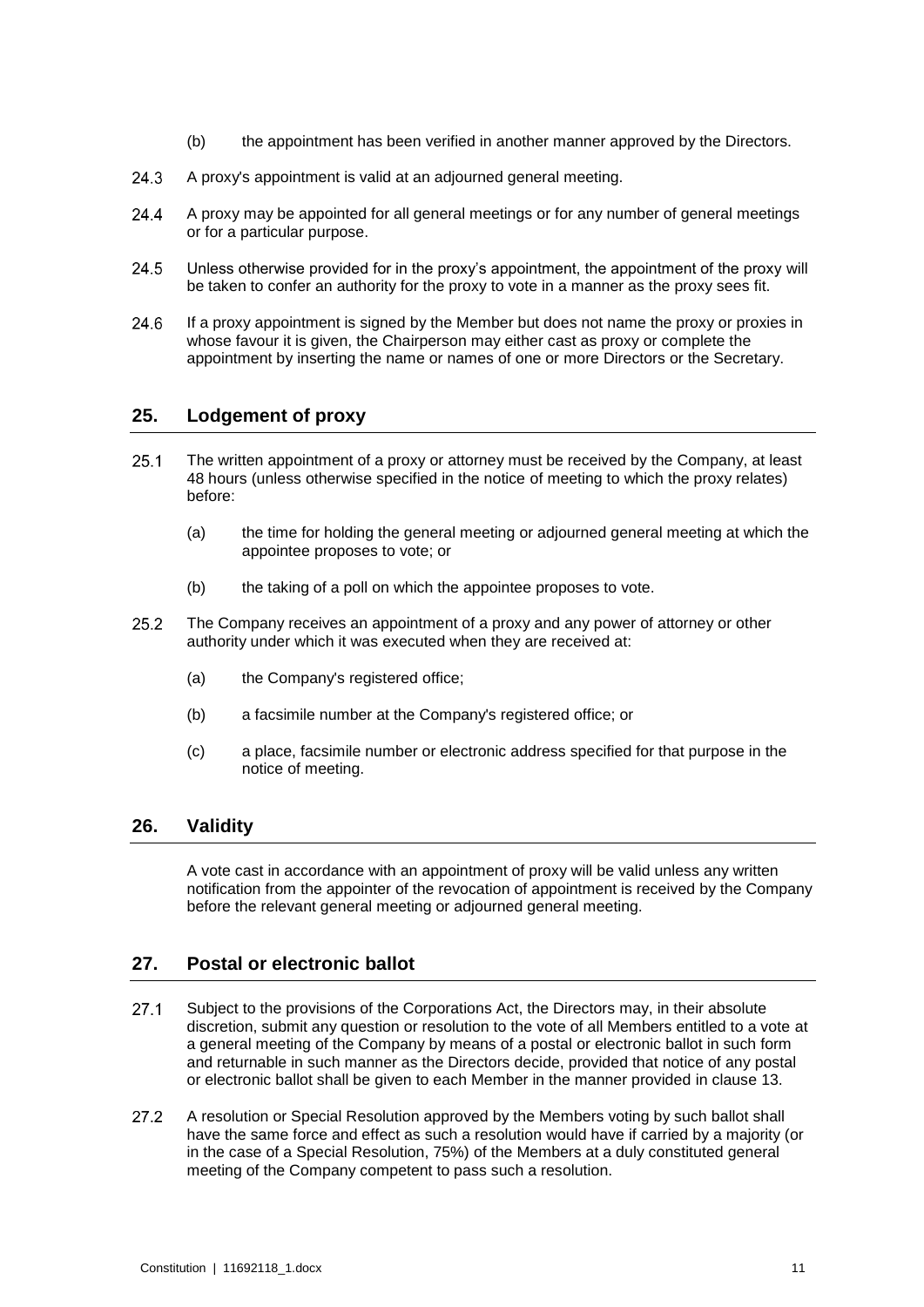- (b) the appointment has been verified in another manner approved by the Directors.
- 24.3 A proxy's appointment is valid at an adjourned general meeting.
- 24.4 A proxy may be appointed for all general meetings or for any number of general meetings or for a particular purpose.
- 24.5 Unless otherwise provided for in the proxy's appointment, the appointment of the proxy will be taken to confer an authority for the proxy to vote in a manner as the proxy sees fit.
- 24.6 If a proxy appointment is signed by the Member but does not name the proxy or proxies in whose favour it is given, the Chairperson may either cast as proxy or complete the appointment by inserting the name or names of one or more Directors or the Secretary.

#### **25. Lodgement of proxy**

- $25.1$ The written appointment of a proxy or attorney must be received by the Company, at least 48 hours (unless otherwise specified in the notice of meeting to which the proxy relates) before:
	- (a) the time for holding the general meeting or adjourned general meeting at which the appointee proposes to vote; or
	- (b) the taking of a poll on which the appointee proposes to vote.
- $25.2$ The Company receives an appointment of a proxy and any power of attorney or other authority under which it was executed when they are received at:
	- (a) the Company's registered office;
	- (b) a facsimile number at the Company's registered office; or
	- (c) a place, facsimile number or electronic address specified for that purpose in the notice of meeting.

#### **26. Validity**

A vote cast in accordance with an appointment of proxy will be valid unless any written notification from the appointer of the revocation of appointment is received by the Company before the relevant general meeting or adjourned general meeting.

#### <span id="page-14-0"></span>**27. Postal or electronic ballot**

- $27.1$ Subject to the provisions of the Corporations Act, the Directors may, in their absolute discretion, submit any question or resolution to the vote of all Members entitled to a vote at a general meeting of the Company by means of a postal or electronic ballot in such form and returnable in such manner as the Directors decide, provided that notice of any postal or electronic ballot shall be given to each Member in the manner provided in clause [13.](#page-9-3)
- $27.2$ A resolution or Special Resolution approved by the Members voting by such ballot shall have the same force and effect as such a resolution would have if carried by a majority (or in the case of a Special Resolution, 75%) of the Members at a duly constituted general meeting of the Company competent to pass such a resolution.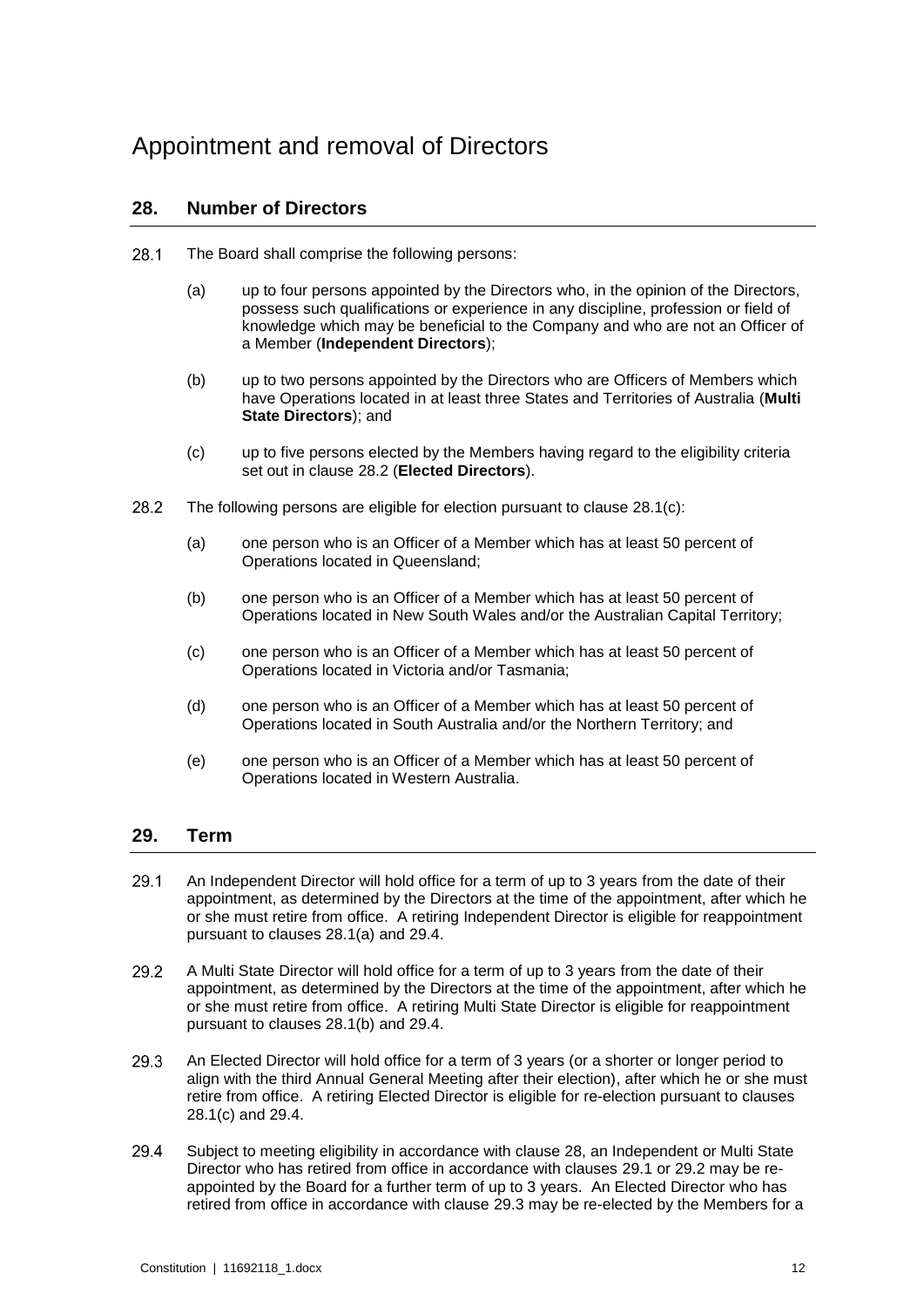## <span id="page-15-5"></span>Appointment and removal of Directors

#### **28. Number of Directors**

- <span id="page-15-4"></span><span id="page-15-2"></span>28.1 The Board shall comprise the following persons:
	- (a) up to four persons appointed by the Directors who, in the opinion of the Directors, possess such qualifications or experience in any discipline, profession or field of knowledge which may be beneficial to the Company and who are not an Officer of a Member (**Independent Directors**);
	- (b) up to two persons appointed by the Directors who are Officers of Members which have Operations located in at least three States and Territories of Australia (**Multi State Directors**); and
	- (c) up to five persons elected by the Members having regard to the eligibility criteria set out in clause [28.2](#page-15-0) (**Elected Directors**).
- <span id="page-15-1"></span><span id="page-15-0"></span>28.2 The following persons are eligible for election pursuant to clause [28.1\(c\):](#page-15-1)
	- (a) one person who is an Officer of a Member which has at least 50 percent of Operations located in Queensland;
	- (b) one person who is an Officer of a Member which has at least 50 percent of Operations located in New South Wales and/or the Australian Capital Territory;
	- (c) one person who is an Officer of a Member which has at least 50 percent of Operations located in Victoria and/or Tasmania;
	- (d) one person who is an Officer of a Member which has at least 50 percent of Operations located in South Australia and/or the Northern Territory; and
	- (e) one person who is an Officer of a Member which has at least 50 percent of Operations located in Western Australia.

#### **29. Term**

- <span id="page-15-6"></span>29.1 An Independent Director will hold office for a term of up to 3 years from the date of their appointment, as determined by the Directors at the time of the appointment, after which he or she must retire from office. A retiring Independent Director is eligible for reappointment pursuant to clauses [28.1\(a\)](#page-15-2) and [29.4.](#page-15-3)
- <span id="page-15-7"></span>29.2 A Multi State Director will hold office for a term of up to 3 years from the date of their appointment, as determined by the Directors at the time of the appointment, after which he or she must retire from office. A retiring Multi State Director is eligible for reappointment pursuant to clauses [28.1\(b\)](#page-15-4) and [29.4.](#page-15-3)
- <span id="page-15-8"></span>29.3 An Elected Director will hold office for a term of 3 years (or a shorter or longer period to align with the third Annual General Meeting after their election), after which he or she must retire from office. A retiring Elected Director is eligible for re-election pursuant to clauses [28.1\(c\)](#page-15-1) and [29.4.](#page-15-3)
- <span id="page-15-3"></span>29.4 Subject to meeting eligibility in accordance with clause [28,](#page-15-5) an Independent or Multi State Director who has retired from office in accordance with clauses [29.1](#page-15-6) or [29.2](#page-15-7) may be reappointed by the Board for a further term of up to 3 years. An Elected Director who has retired from office in accordance with clause [29.3](#page-15-8) may be re-elected by the Members for a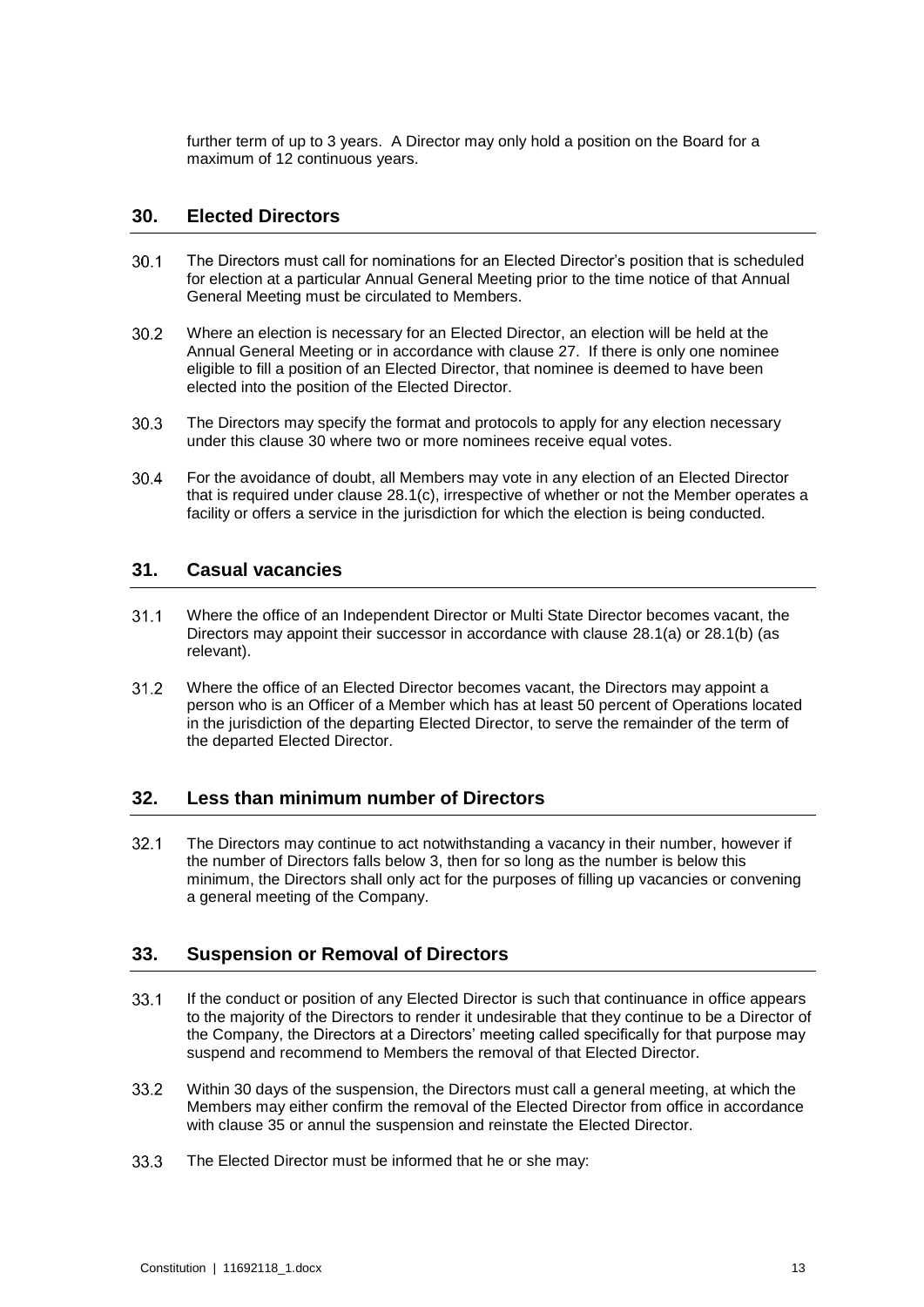further term of up to 3 years. A Director may only hold a position on the Board for a maximum of 12 continuous years.

#### <span id="page-16-0"></span>**30. Elected Directors**

- $30.1$ The Directors must call for nominations for an Elected Director's position that is scheduled for election at a particular Annual General Meeting prior to the time notice of that Annual General Meeting must be circulated to Members.
- $30.2$ Where an election is necessary for an Elected Director, an election will be held at the Annual General Meeting or in accordance with clause [27.](#page-14-0) If there is only one nominee eligible to fill a position of an Elected Director, that nominee is deemed to have been elected into the position of the Elected Director.
- $30.3$ The Directors may specify the format and protocols to apply for any election necessary under this clause [30](#page-16-0) where two or more nominees receive equal votes.
- 30.4 For the avoidance of doubt, all Members may vote in any election of an Elected Director that is required under clause [28.1\(c\),](#page-15-1) irrespective of whether or not the Member operates a facility or offers a service in the jurisdiction for which the election is being conducted.

#### **31. Casual vacancies**

- $31.1$ Where the office of an Independent Director or Multi State Director becomes vacant, the Directors may appoint their successor in accordance with clause [28.1\(a\)](#page-15-2) or [28.1\(b\)](#page-15-4) (as relevant).
- $31.2$ Where the office of an Elected Director becomes vacant, the Directors may appoint a person who is an Officer of a Member which has at least 50 percent of Operations located in the jurisdiction of the departing Elected Director, to serve the remainder of the term of the departed Elected Director.

#### **32. Less than minimum number of Directors**

 $32.1$ The Directors may continue to act notwithstanding a vacancy in their number, however if the number of Directors falls below 3, then for so long as the number is below this minimum, the Directors shall only act for the purposes of filling up vacancies or convening a general meeting of the Company.

#### <span id="page-16-1"></span>**33. Suspension or Removal of Directors**

- $33.1$ If the conduct or position of any Elected Director is such that continuance in office appears to the majority of the Directors to render it undesirable that they continue to be a Director of the Company, the Directors at a Directors' meeting called specifically for that purpose may suspend and recommend to Members the removal of that Elected Director.
- 33.2 Within 30 days of the suspension, the Directors must call a general meeting, at which the Members may either confirm the removal of the Elected Director from office in accordance with clause [35](#page-17-0) or annul the suspension and reinstate the Elected Director.
- $33.3$ The Elected Director must be informed that he or she may: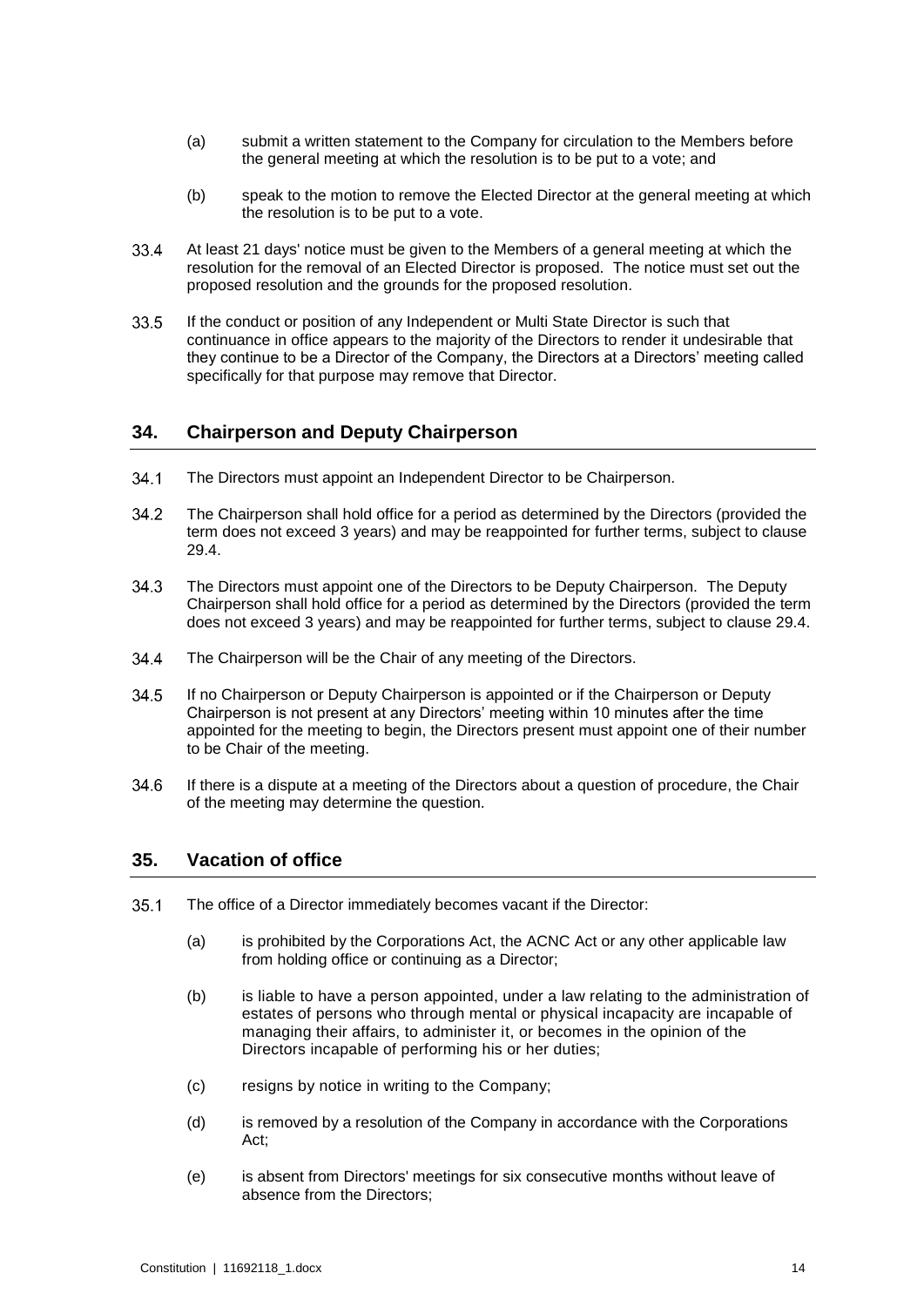- (a) submit a written statement to the Company for circulation to the Members before the general meeting at which the resolution is to be put to a vote; and
- (b) speak to the motion to remove the Elected Director at the general meeting at which the resolution is to be put to a vote.
- 33.4 At least 21 days' notice must be given to the Members of a general meeting at which the resolution for the removal of an Elected Director is proposed. The notice must set out the proposed resolution and the grounds for the proposed resolution.
- $33.5$ If the conduct or position of any Independent or Multi State Director is such that continuance in office appears to the majority of the Directors to render it undesirable that they continue to be a Director of the Company, the Directors at a Directors' meeting called specifically for that purpose may remove that Director.

#### <span id="page-17-1"></span>**34. Chairperson and Deputy Chairperson**

- $34.1$ The Directors must appoint an Independent Director to be Chairperson.
- 34.2 The Chairperson shall hold office for a period as determined by the Directors (provided the term does not exceed 3 years) and may be reappointed for further terms, subject to clause [29.4.](#page-15-3)
- $34.3$ The Directors must appoint one of the Directors to be Deputy Chairperson. The Deputy Chairperson shall hold office for a period as determined by the Directors (provided the term does not exceed 3 years) and may be reappointed for further terms, subject to clause [29.4.](#page-15-3)
- 34.4 The Chairperson will be the Chair of any meeting of the Directors.
- $34.5$ If no Chairperson or Deputy Chairperson is appointed or if the Chairperson or Deputy Chairperson is not present at any Directors' meeting within 10 minutes after the time appointed for the meeting to begin, the Directors present must appoint one of their number to be Chair of the meeting.
- <span id="page-17-0"></span>34.6 If there is a dispute at a meeting of the Directors about a question of procedure, the Chair of the meeting may determine the question.

#### **35. Vacation of office**

- $35.1$ The office of a Director immediately becomes vacant if the Director:
	- (a) is prohibited by the Corporations Act, the ACNC Act or any other applicable law from holding office or continuing as a Director;
	- (b) is liable to have a person appointed, under a law relating to the administration of estates of persons who through mental or physical incapacity are incapable of managing their affairs, to administer it, or becomes in the opinion of the Directors incapable of performing his or her duties;
	- (c) resigns by notice in writing to the Company;
	- (d) is removed by a resolution of the Company in accordance with the Corporations Act;
	- (e) is absent from Directors' meetings for six consecutive months without leave of absence from the Directors;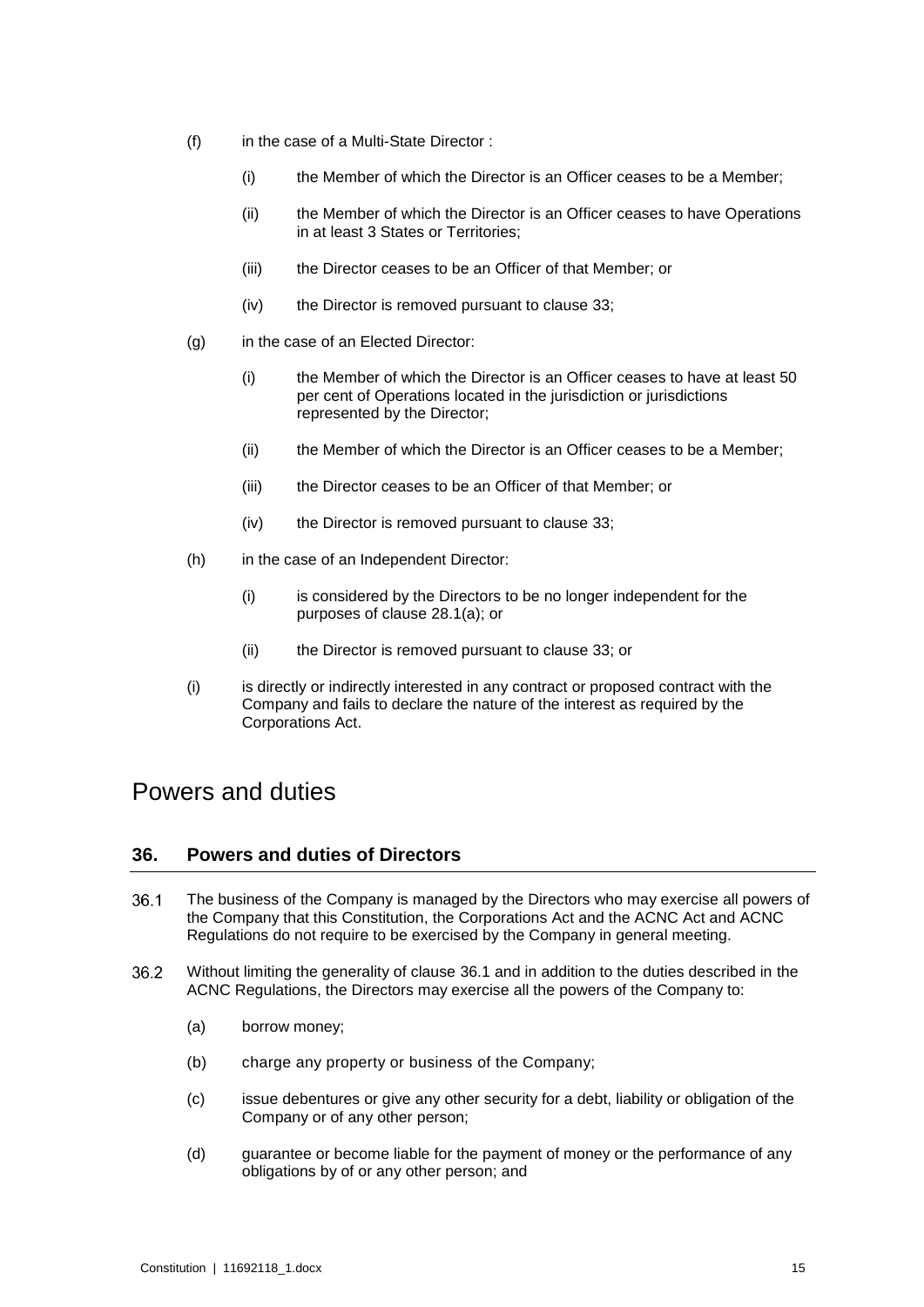- (f) in the case of a Multi-State Director :
	- (i) the Member of which the Director is an Officer ceases to be a Member;
	- (ii) the Member of which the Director is an Officer ceases to have Operations in at least 3 States or Territories;
	- (iii) the Director ceases to be an Officer of that Member; or
	- (iv) the Director is removed pursuant to clause [33;](#page-16-1)
- (g) in the case of an Elected Director:
	- (i) the Member of which the Director is an Officer ceases to have at least 50 per cent of Operations located in the jurisdiction or jurisdictions represented by the Director;
	- (ii) the Member of which the Director is an Officer ceases to be a Member;
	- (iii) the Director ceases to be an Officer of that Member; or
	- (iv) the Director is removed pursuant to clause [33;](#page-16-1)
- (h) in the case of an Independent Director:
	- (i) is considered by the Directors to be no longer independent for the purposes of clause [28.1\(a\);](#page-15-2) or
	- (ii) the Director is removed pursuant to clause [33;](#page-16-1) or
- (i) is directly or indirectly interested in any contract or proposed contract with the Company and fails to declare the nature of the interest as required by the Corporations Act.

### Powers and duties

#### **36. Powers and duties of Directors**

- <span id="page-18-0"></span>36.1 The business of the Company is managed by the Directors who may exercise all powers of the Company that this Constitution, the Corporations Act and the ACNC Act and ACNC Regulations do not require to be exercised by the Company in general meeting.
- 36.2 Without limiting the generality of clause [36.1](#page-18-0) and in addition to the duties described in the ACNC Regulations, the Directors may exercise all the powers of the Company to:
	- (a) borrow money;
	- (b) charge any property or business of the Company;
	- (c) issue debentures or give any other security for a debt, liability or obligation of the Company or of any other person;
	- (d) guarantee or become liable for the payment of money or the performance of any obligations by of or any other person; and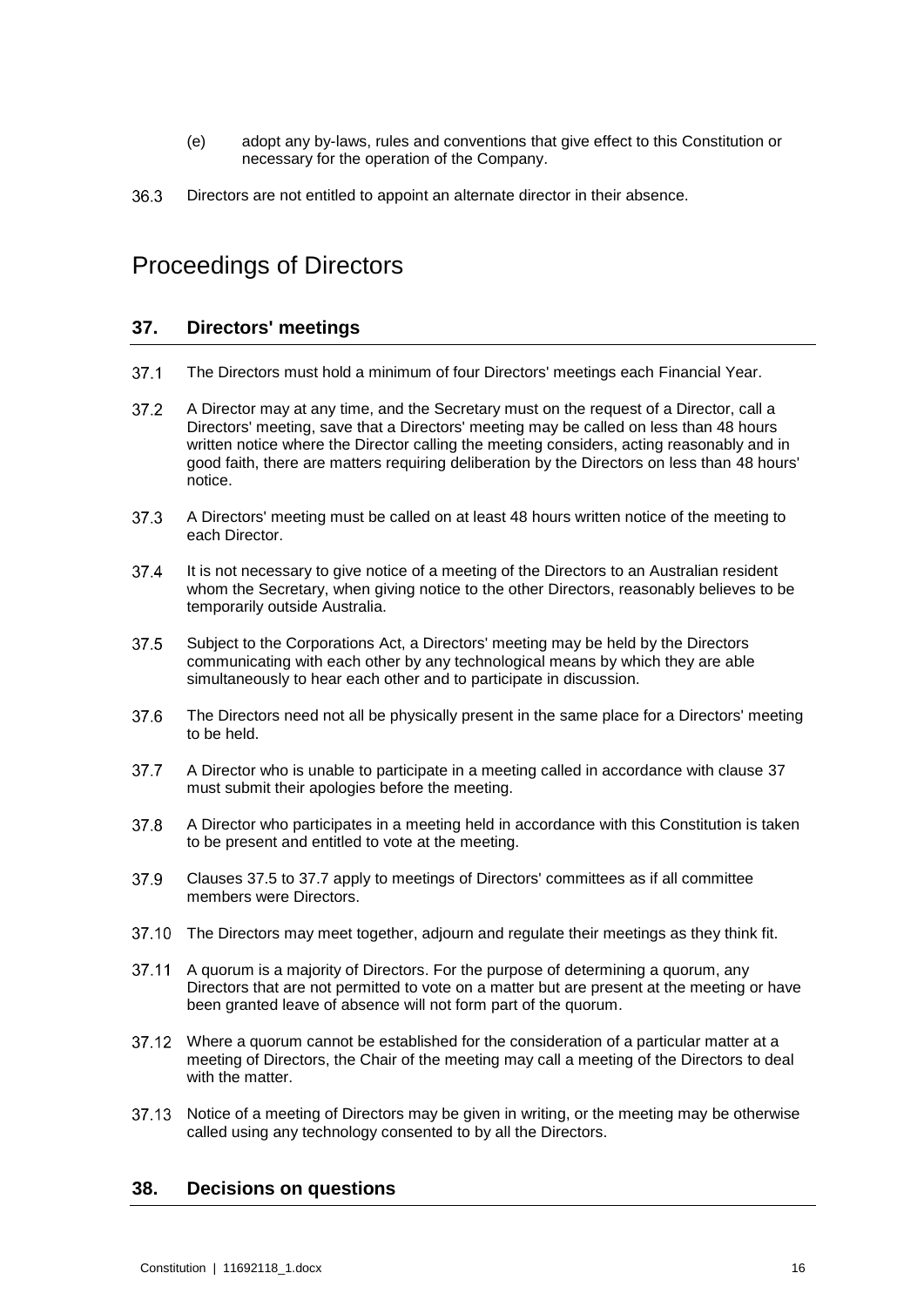- (e) adopt any by-laws, rules and conventions that give effect to this Constitution or necessary for the operation of the Company.
- 36.3 Directors are not entitled to appoint an alternate director in their absence.

## <span id="page-19-1"></span>Proceedings of Directors

#### **37. Directors' meetings**

- $37.1$ The Directors must hold a minimum of four Directors' meetings each Financial Year.
- $37.2$ A Director may at any time, and the Secretary must on the request of a Director, call a Directors' meeting, save that a Directors' meeting may be called on less than 48 hours written notice where the Director calling the meeting considers, acting reasonably and in good faith, there are matters requiring deliberation by the Directors on less than 48 hours' notice.
- <span id="page-19-0"></span>37.3 A Directors' meeting must be called on at least 48 hours written notice of the meeting to each Director.
- 37.4 It is not necessary to give notice of a meeting of the Directors to an Australian resident whom the Secretary, when giving notice to the other Directors, reasonably believes to be temporarily outside Australia.
- <span id="page-19-2"></span>37.5 Subject to the Corporations Act, a Directors' meeting may be held by the Directors communicating with each other by any technological means by which they are able simultaneously to hear each other and to participate in discussion.
- 37.6 The Directors need not all be physically present in the same place for a Directors' meeting to be held.
- <span id="page-19-3"></span> $37.7$ A Director who is unable to participate in a meeting called in accordance with clause [37](#page-19-1) must submit their apologies before the meeting.
- 37.8 A Director who participates in a meeting held in accordance with this Constitution is taken to be present and entitled to vote at the meeting.
- 37.9 Clauses [37.5](#page-19-2) to [37.7](#page-19-3) apply to meetings of Directors' committees as if all committee members were Directors.
- 37.10 The Directors may meet together, adjourn and regulate their meetings as they think fit.
- A quorum is a majority of Directors. For the purpose of determining a quorum, any 37.11 Directors that are not permitted to vote on a matter but are present at the meeting or have been granted leave of absence will not form part of the quorum.
- Where a quorum cannot be established for the consideration of a particular matter at a meeting of Directors, the Chair of the meeting may call a meeting of the Directors to deal with the matter.
- <span id="page-19-4"></span>37.13 Notice of a meeting of Directors may be given in writing, or the meeting may be otherwise called using any technology consented to by all the Directors.

#### **38. Decisions on questions**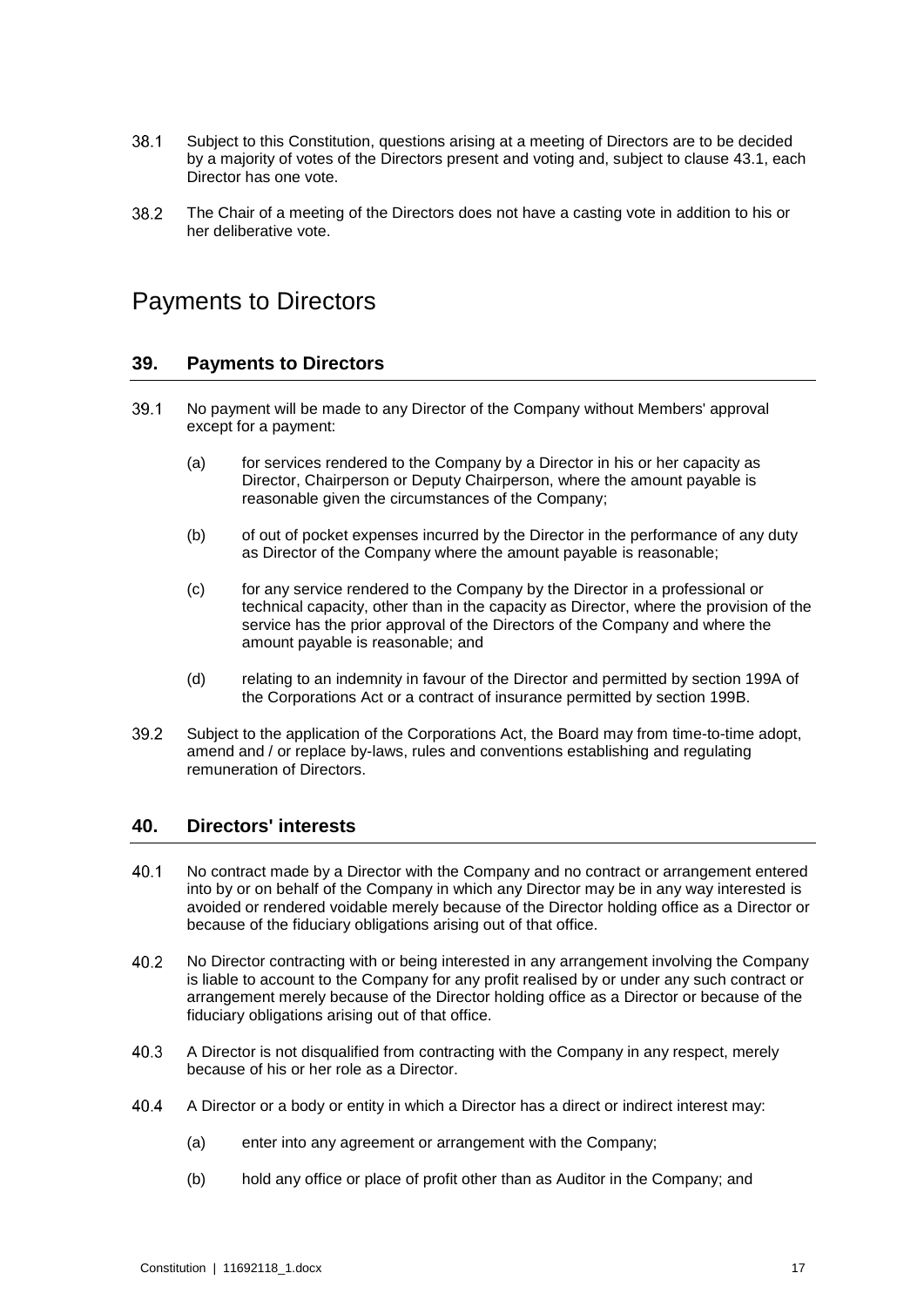- 38.1 Subject to this Constitution, questions arising at a meeting of Directors are to be decided by a majority of votes of the Directors present and voting and, subject to clause [43.1,](#page-22-0) each Director has one vote.
- 38.2 The Chair of a meeting of the Directors does not have a casting vote in addition to his or her deliberative vote.

## Payments to Directors

#### **39. Payments to Directors**

- $39.1$ No payment will be made to any Director of the Company without Members' approval except for a payment:
	- (a) for services rendered to the Company by a Director in his or her capacity as Director, Chairperson or Deputy Chairperson, where the amount payable is reasonable given the circumstances of the Company;
	- (b) of out of pocket expenses incurred by the Director in the performance of any duty as Director of the Company where the amount payable is reasonable;
	- (c) for any service rendered to the Company by the Director in a professional or technical capacity, other than in the capacity as Director, where the provision of the service has the prior approval of the Directors of the Company and where the amount payable is reasonable; and
	- (d) relating to an indemnity in favour of the Director and permitted by section 199A of the Corporations Act or a contract of insurance permitted by section 199B.
- 39.2 Subject to the application of the Corporations Act, the Board may from time-to-time adopt, amend and / or replace by-laws, rules and conventions establishing and regulating remuneration of Directors.

#### <span id="page-20-0"></span>**40. Directors' interests**

- 40.1 No contract made by a Director with the Company and no contract or arrangement entered into by or on behalf of the Company in which any Director may be in any way interested is avoided or rendered voidable merely because of the Director holding office as a Director or because of the fiduciary obligations arising out of that office.
- 40.2 No Director contracting with or being interested in any arrangement involving the Company is liable to account to the Company for any profit realised by or under any such contract or arrangement merely because of the Director holding office as a Director or because of the fiduciary obligations arising out of that office.
- 40.3 A Director is not disqualified from contracting with the Company in any respect, merely because of his or her role as a Director.
- 40.4 A Director or a body or entity in which a Director has a direct or indirect interest may:
	- (a) enter into any agreement or arrangement with the Company;
	- (b) hold any office or place of profit other than as Auditor in the Company; and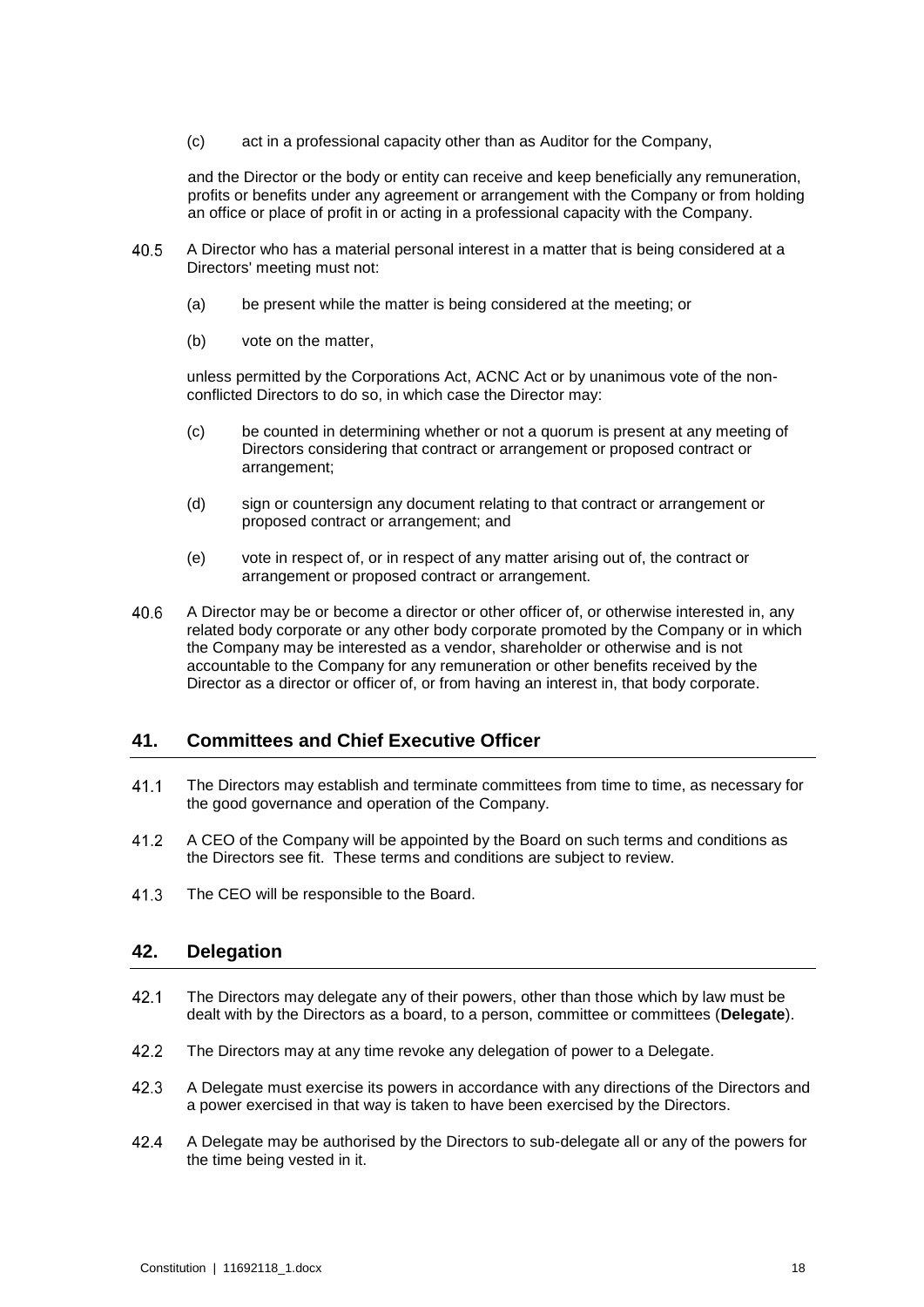(c) act in a professional capacity other than as Auditor for the Company,

and the Director or the body or entity can receive and keep beneficially any remuneration, profits or benefits under any agreement or arrangement with the Company or from holding an office or place of profit in or acting in a professional capacity with the Company.

- 40.5 A Director who has a material personal interest in a matter that is being considered at a Directors' meeting must not:
	- (a) be present while the matter is being considered at the meeting; or
	- (b) vote on the matter,

unless permitted by the Corporations Act, ACNC Act or by unanimous vote of the nonconflicted Directors to do so, in which case the Director may:

- (c) be counted in determining whether or not a quorum is present at any meeting of Directors considering that contract or arrangement or proposed contract or arrangement;
- (d) sign or countersign any document relating to that contract or arrangement or proposed contract or arrangement; and
- (e) vote in respect of, or in respect of any matter arising out of, the contract or arrangement or proposed contract or arrangement.
- 40.6 A Director may be or become a director or other officer of, or otherwise interested in, any related body corporate or any other body corporate promoted by the Company or in which the Company may be interested as a vendor, shareholder or otherwise and is not accountable to the Company for any remuneration or other benefits received by the Director as a director or officer of, or from having an interest in, that body corporate.

#### **41. Committees and Chief Executive Officer**

- $41.1$ The Directors may establish and terminate committees from time to time, as necessary for the good governance and operation of the Company.
- 41.2 A CEO of the Company will be appointed by the Board on such terms and conditions as the Directors see fit. These terms and conditions are subject to review.
- 41.3 The CEO will be responsible to the Board.

#### **42. Delegation**

- <span id="page-21-0"></span> $42.1$ The Directors may delegate any of their powers, other than those which by law must be dealt with by the Directors as a board, to a person, committee or committees (**Delegate**).
- $42.2$ The Directors may at any time revoke any delegation of power to a Delegate.
- 42.3 A Delegate must exercise its powers in accordance with any directions of the Directors and a power exercised in that way is taken to have been exercised by the Directors.
- 42.4 A Delegate may be authorised by the Directors to sub-delegate all or any of the powers for the time being vested in it.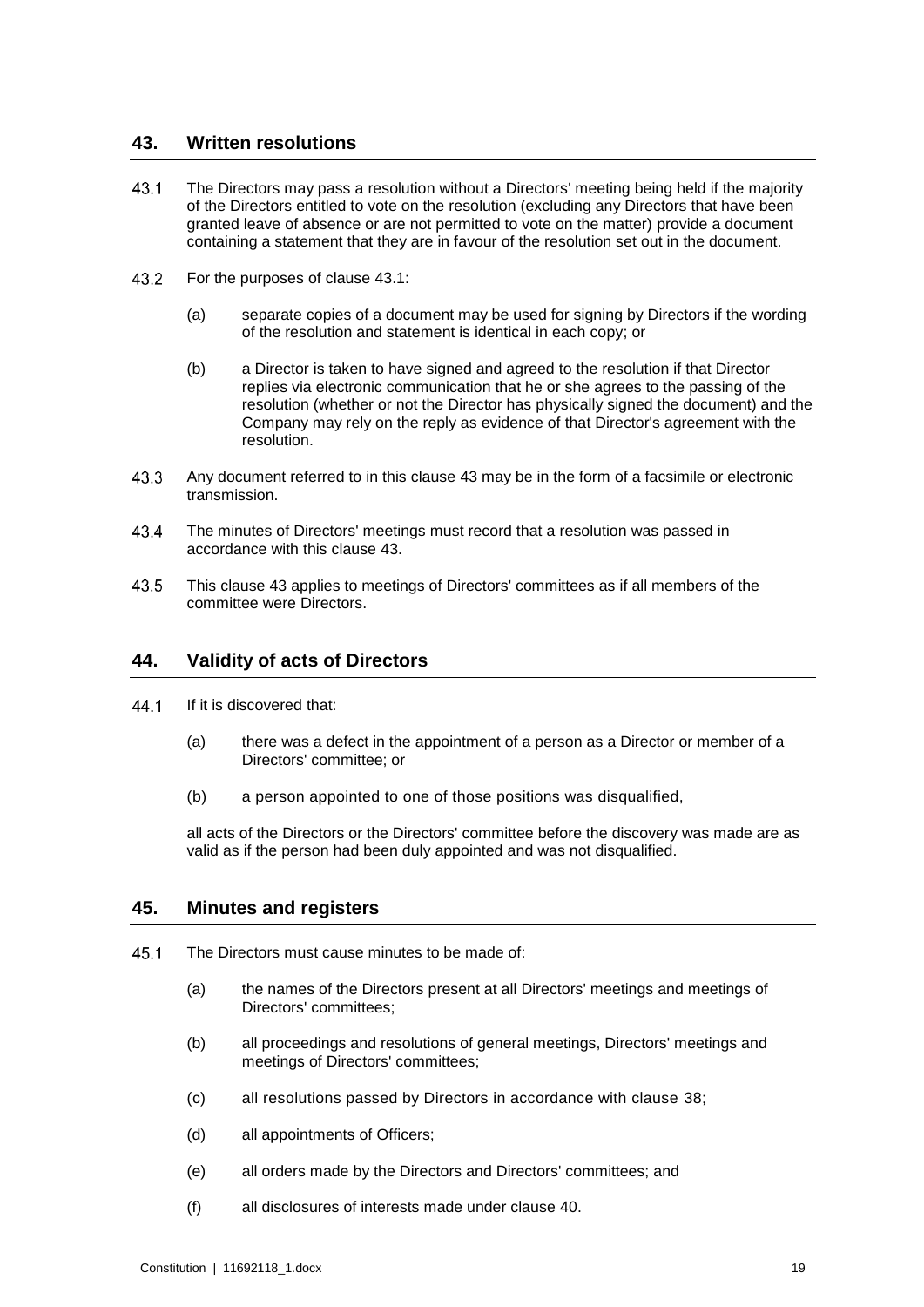#### <span id="page-22-1"></span>**43. Written resolutions**

- <span id="page-22-0"></span> $43.1$ The Directors may pass a resolution without a Directors' meeting being held if the majority of the Directors entitled to vote on the resolution (excluding any Directors that have been granted leave of absence or are not permitted to vote on the matter) provide a document containing a statement that they are in favour of the resolution set out in the document.
- 43.2 For the purposes of clause [43.1:](#page-22-0)
	- (a) separate copies of a document may be used for signing by Directors if the wording of the resolution and statement is identical in each copy; or
	- (b) a Director is taken to have signed and agreed to the resolution if that Director replies via electronic communication that he or she agrees to the passing of the resolution (whether or not the Director has physically signed the document) and the Company may rely on the reply as evidence of that Director's agreement with the resolution.
- 43.3 Any document referred to in this clause [43](#page-22-1) may be in the form of a facsimile or electronic transmission.
- 43.4 The minutes of Directors' meetings must record that a resolution was passed in accordance with this clause [43.](#page-22-1)
- 43.5 This clause [43](#page-22-1) applies to meetings of Directors' committees as if all members of the committee were Directors.

#### **44. Validity of acts of Directors**

- 44.1 If it is discovered that:
	- (a) there was a defect in the appointment of a person as a Director or member of a Directors' committee; or
	- (b) a person appointed to one of those positions was disqualified,

all acts of the Directors or the Directors' committee before the discovery was made are as valid as if the person had been duly appointed and was not disqualified.

#### **45. Minutes and registers**

- 45.1 The Directors must cause minutes to be made of:
	- (a) the names of the Directors present at all Directors' meetings and meetings of Directors' committees;
	- (b) all proceedings and resolutions of general meetings, Directors' meetings and meetings of Directors' committees;
	- (c) all resolutions passed by Directors in accordance with clause [38;](#page-19-4)
	- (d) all appointments of Officers;
	- (e) all orders made by the Directors and Directors' committees; and
	- (f) all disclosures of interests made under clause [40.](#page-20-0)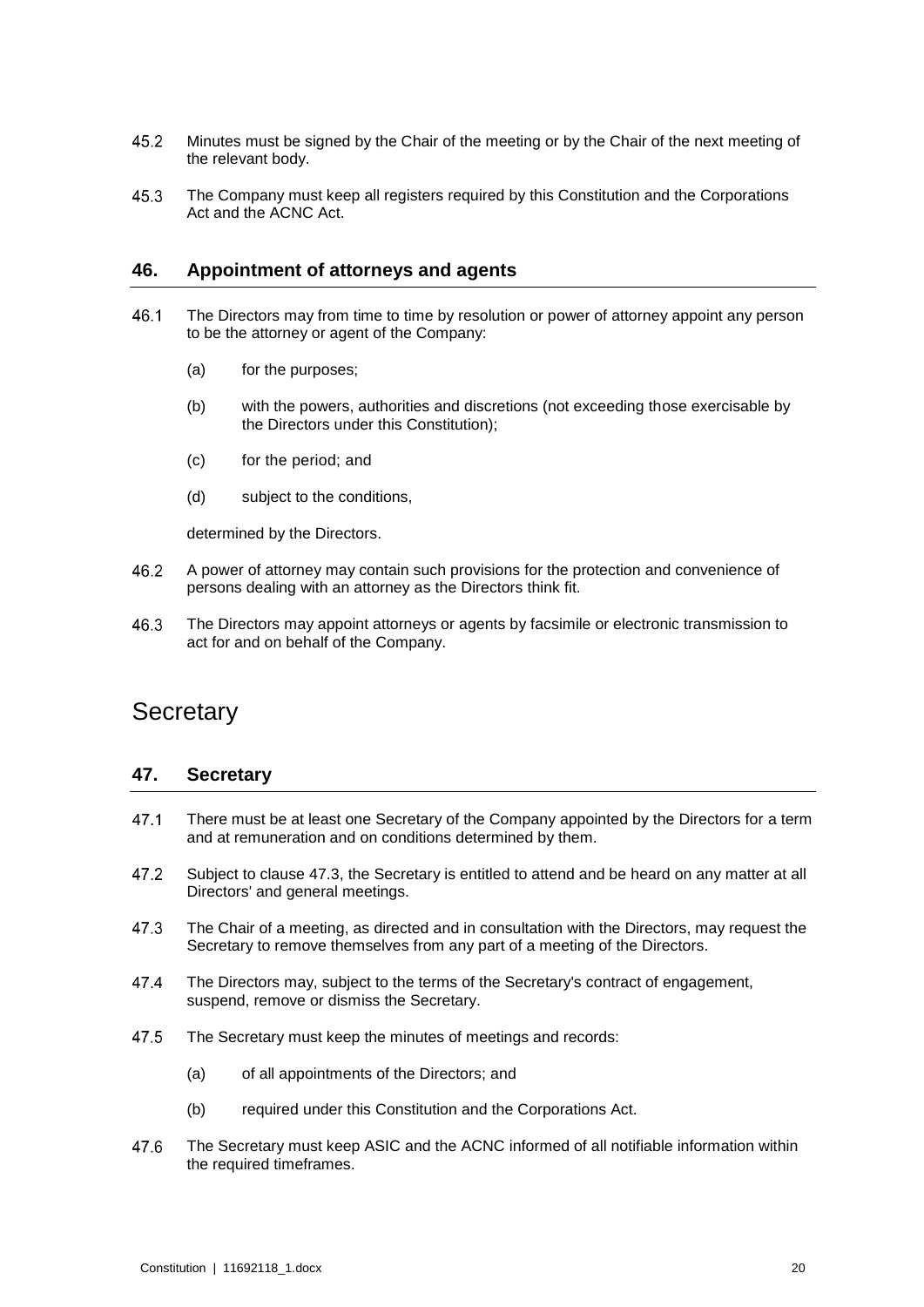- 45.2 Minutes must be signed by the Chair of the meeting or by the Chair of the next meeting of the relevant body.
- 45.3 The Company must keep all registers required by this Constitution and the Corporations Act and the ACNC Act.

#### **46. Appointment of attorneys and agents**

- 46.1 The Directors may from time to time by resolution or power of attorney appoint any person to be the attorney or agent of the Company:
	- (a) for the purposes;
	- (b) with the powers, authorities and discretions (not exceeding those exercisable by the Directors under this Constitution);
	- (c) for the period; and
	- (d) subject to the conditions,

determined by the Directors.

- 46.2 A power of attorney may contain such provisions for the protection and convenience of persons dealing with an attorney as the Directors think fit.
- The Directors may appoint attorneys or agents by facsimile or electronic transmission to 46.3 act for and on behalf of the Company.

## **Secretary**

#### **47. Secretary**

- 47.1 There must be at least one Secretary of the Company appointed by the Directors for a term and at remuneration and on conditions determined by them.
- 47.2 Subject to clause [47.3,](#page-23-0) the Secretary is entitled to attend and be heard on any matter at all Directors' and general meetings.
- <span id="page-23-0"></span>47.3 The Chair of a meeting, as directed and in consultation with the Directors, may request the Secretary to remove themselves from any part of a meeting of the Directors.
- 474 The Directors may, subject to the terms of the Secretary's contract of engagement, suspend, remove or dismiss the Secretary.
- 47.5 The Secretary must keep the minutes of meetings and records:
	- (a) of all appointments of the Directors; and
	- (b) required under this Constitution and the Corporations Act.
- 47.6 The Secretary must keep ASIC and the ACNC informed of all notifiable information within the required timeframes.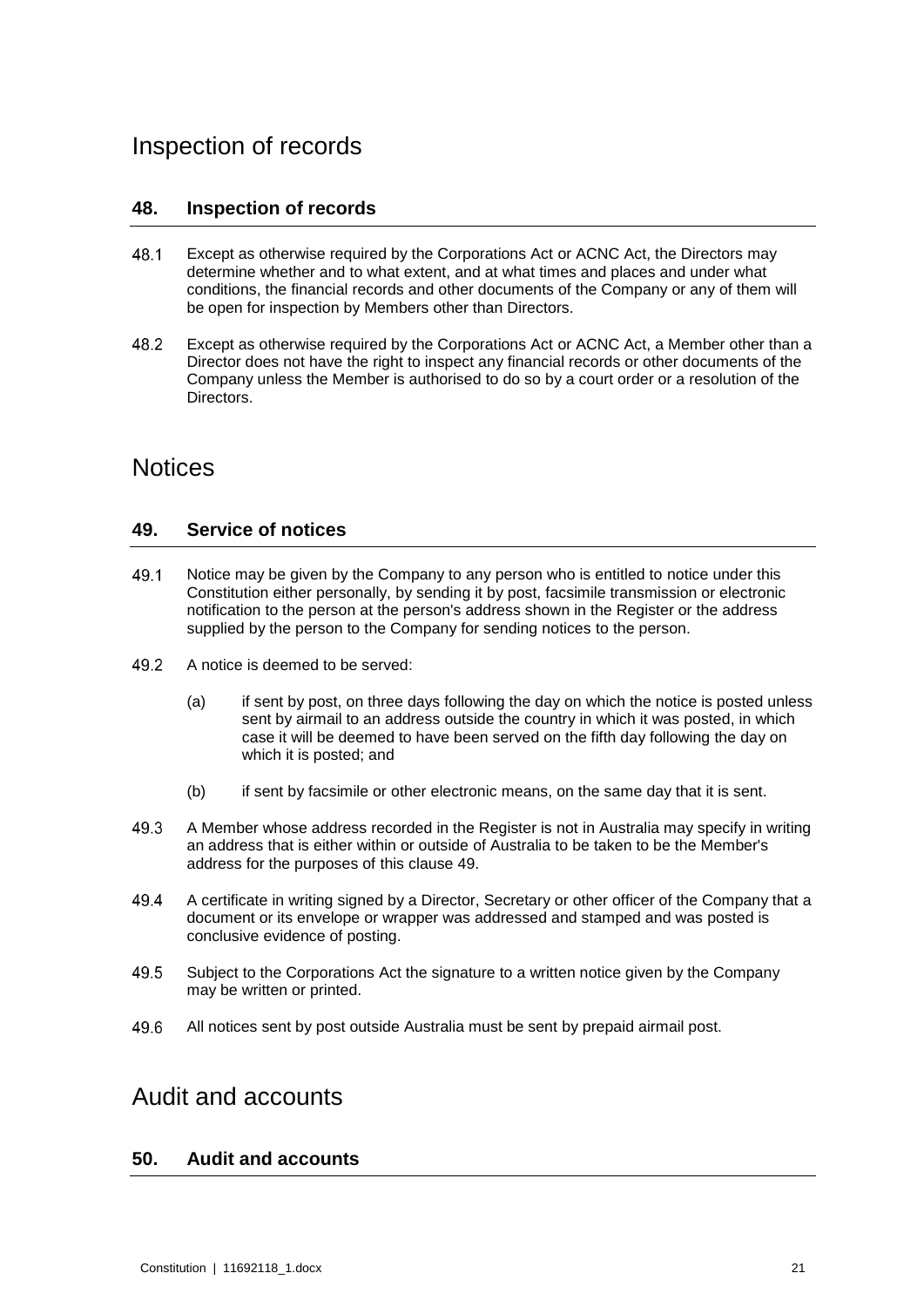## Inspection of records

#### **48. Inspection of records**

- 48.1 Except as otherwise required by the Corporations Act or ACNC Act, the Directors may determine whether and to what extent, and at what times and places and under what conditions, the financial records and other documents of the Company or any of them will be open for inspection by Members other than Directors.
- 48.2 Except as otherwise required by the Corporations Act or ACNC Act, a Member other than a Director does not have the right to inspect any financial records or other documents of the Company unless the Member is authorised to do so by a court order or a resolution of the Directors.

## <span id="page-24-0"></span>**Notices**

#### **49. Service of notices**

- 49.1 Notice may be given by the Company to any person who is entitled to notice under this Constitution either personally, by sending it by post, facsimile transmission or electronic notification to the person at the person's address shown in the Register or the address supplied by the person to the Company for sending notices to the person.
- 49.2 A notice is deemed to be served:
	- (a) if sent by post, on three days following the day on which the notice is posted unless sent by airmail to an address outside the country in which it was posted, in which case it will be deemed to have been served on the fifth day following the day on which it is posted; and
	- (b) if sent by facsimile or other electronic means, on the same day that it is sent.
- 49.3 A Member whose address recorded in the Register is not in Australia may specify in writing an address that is either within or outside of Australia to be taken to be the Member's address for the purposes of this clause [49.](#page-24-0)
- 49.4 A certificate in writing signed by a Director, Secretary or other officer of the Company that a document or its envelope or wrapper was addressed and stamped and was posted is conclusive evidence of posting.
- 49.5 Subject to the Corporations Act the signature to a written notice given by the Company may be written or printed.
- 49.6 All notices sent by post outside Australia must be sent by prepaid airmail post.

## Audit and accounts

#### **50. Audit and accounts**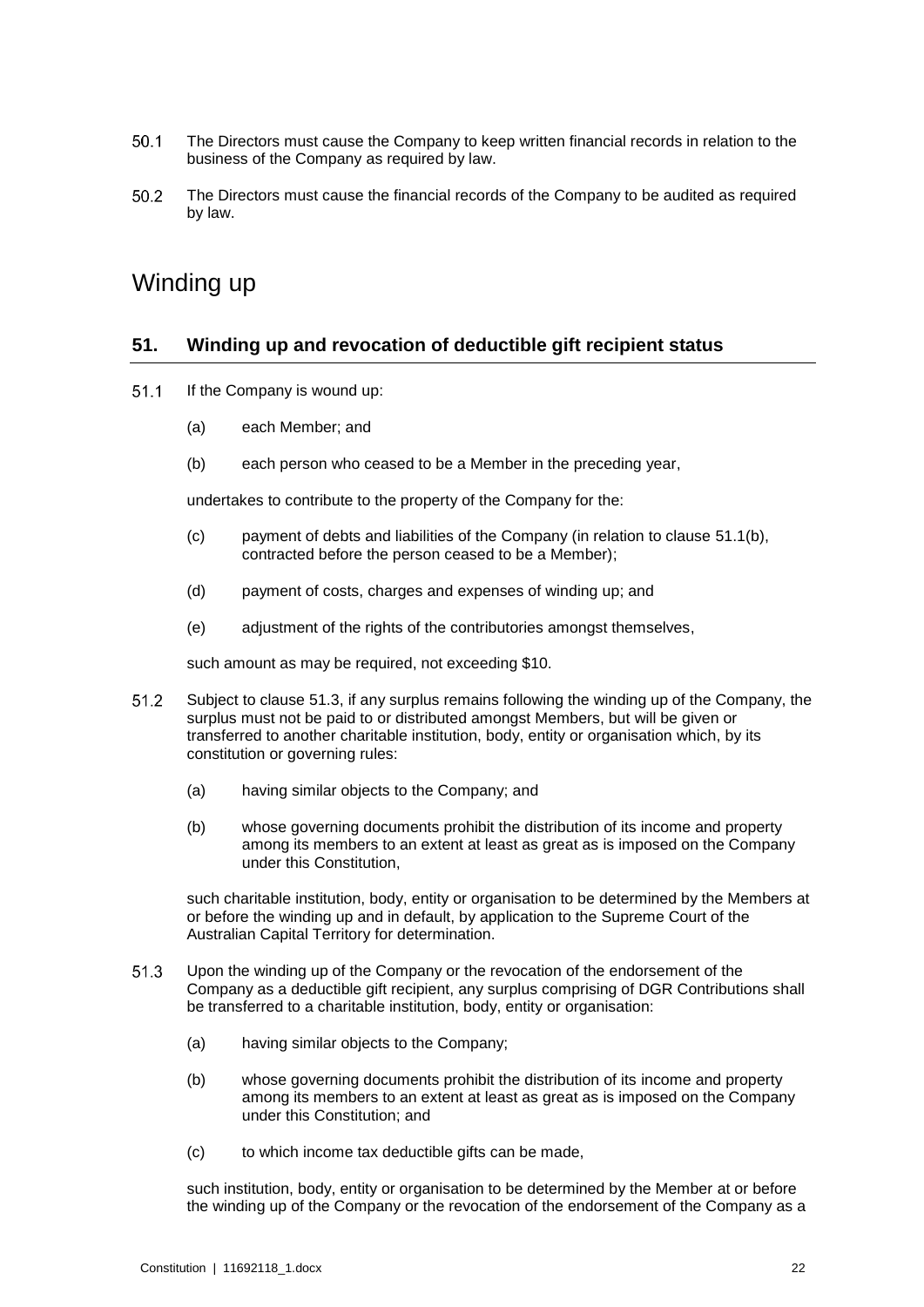- $50.1$ The Directors must cause the Company to keep written financial records in relation to the business of the Company as required by law.
- 50.2 The Directors must cause the financial records of the Company to be audited as required by law.

## Winding up

#### **51. Winding up and revocation of deductible gift recipient status**

- <span id="page-25-0"></span> $51.1$ If the Company is wound up:
	- (a) each Member; and
	- (b) each person who ceased to be a Member in the preceding year,

undertakes to contribute to the property of the Company for the:

- (c) payment of debts and liabilities of the Company (in relation to clause [51.1\(b\),](#page-25-0) contracted before the person ceased to be a Member);
- (d) payment of costs, charges and expenses of winding up; and
- (e) adjustment of the rights of the contributories amongst themselves,

such amount as may be required, not exceeding \$10.

- 51.2 Subject to clause [51.3,](#page-25-1) if any surplus remains following the winding up of the Company, the surplus must not be paid to or distributed amongst Members, but will be given or transferred to another charitable institution, body, entity or organisation which, by its constitution or governing rules:
	- (a) having similar objects to the Company; and
	- (b) whose governing documents prohibit the distribution of its income and property among its members to an extent at least as great as is imposed on the Company under this Constitution,

such charitable institution, body, entity or organisation to be determined by the Members at or before the winding up and in default, by application to the Supreme Court of the Australian Capital Territory for determination.

- <span id="page-25-1"></span> $51.3$ Upon the winding up of the Company or the revocation of the endorsement of the Company as a deductible gift recipient, any surplus comprising of DGR Contributions shall be transferred to a charitable institution, body, entity or organisation:
	- (a) having similar objects to the Company;
	- (b) whose governing documents prohibit the distribution of its income and property among its members to an extent at least as great as is imposed on the Company under this Constitution; and
	- (c) to which income tax deductible gifts can be made,

such institution, body, entity or organisation to be determined by the Member at or before the winding up of the Company or the revocation of the endorsement of the Company as a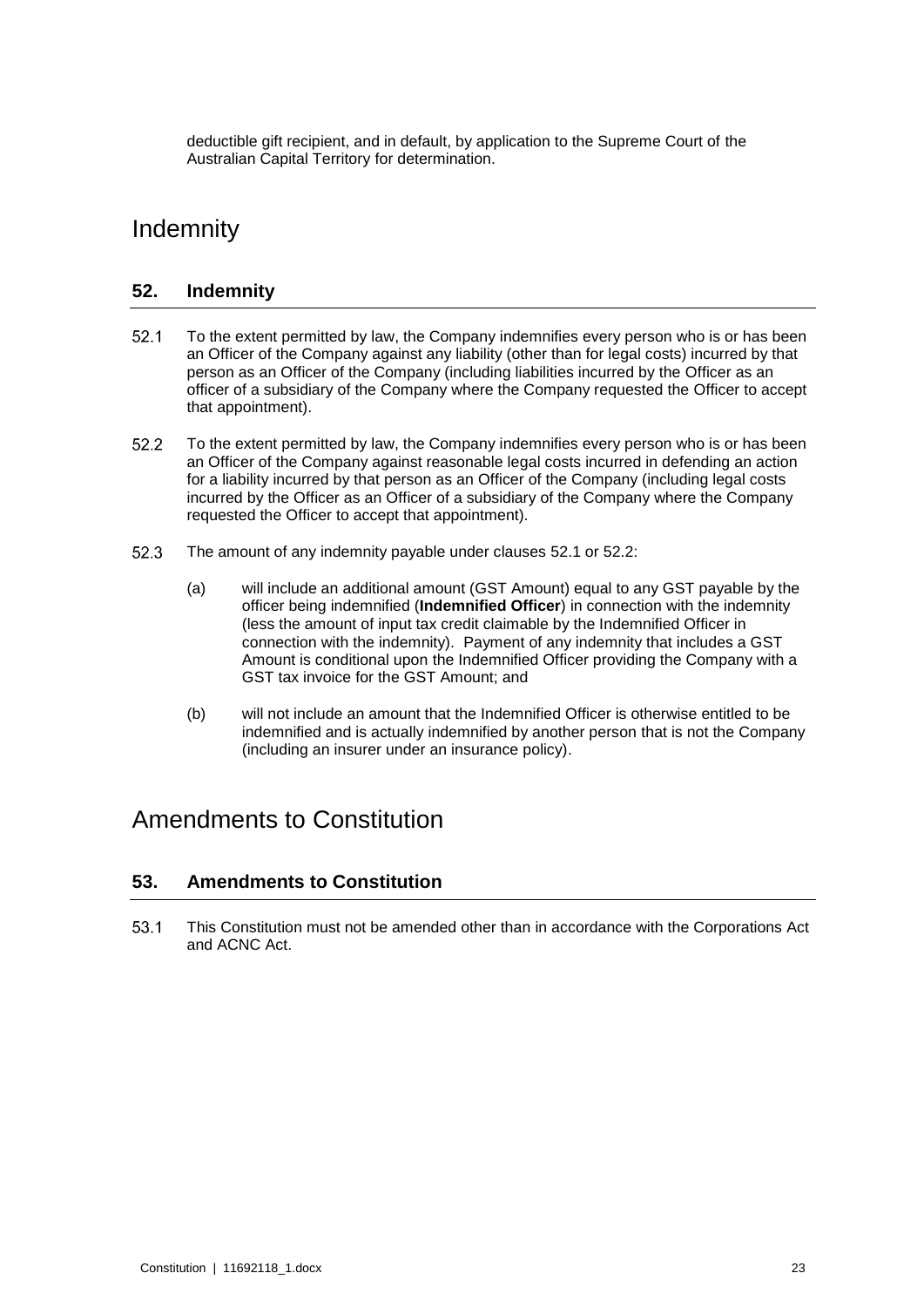deductible gift recipient, and in default, by application to the Supreme Court of the Australian Capital Territory for determination.

## **Indemnity**

#### **52. Indemnity**

- <span id="page-26-0"></span> $52.1$ To the extent permitted by law, the Company indemnifies every person who is or has been an Officer of the Company against any liability (other than for legal costs) incurred by that person as an Officer of the Company (including liabilities incurred by the Officer as an officer of a subsidiary of the Company where the Company requested the Officer to accept that appointment).
- <span id="page-26-1"></span> $52.2$ To the extent permitted by law, the Company indemnifies every person who is or has been an Officer of the Company against reasonable legal costs incurred in defending an action for a liability incurred by that person as an Officer of the Company (including legal costs incurred by the Officer as an Officer of a subsidiary of the Company where the Company requested the Officer to accept that appointment).
- 52.3 The amount of any indemnity payable under clauses [52.1](#page-26-0) or [52.2:](#page-26-1)
	- (a) will include an additional amount (GST Amount) equal to any GST payable by the officer being indemnified (**Indemnified Officer**) in connection with the indemnity (less the amount of input tax credit claimable by the Indemnified Officer in connection with the indemnity). Payment of any indemnity that includes a GST Amount is conditional upon the Indemnified Officer providing the Company with a GST tax invoice for the GST Amount; and
	- (b) will not include an amount that the Indemnified Officer is otherwise entitled to be indemnified and is actually indemnified by another person that is not the Company (including an insurer under an insurance policy).

## Amendments to Constitution

#### **53. Amendments to Constitution**

53.1 This Constitution must not be amended other than in accordance with the Corporations Act and ACNC Act.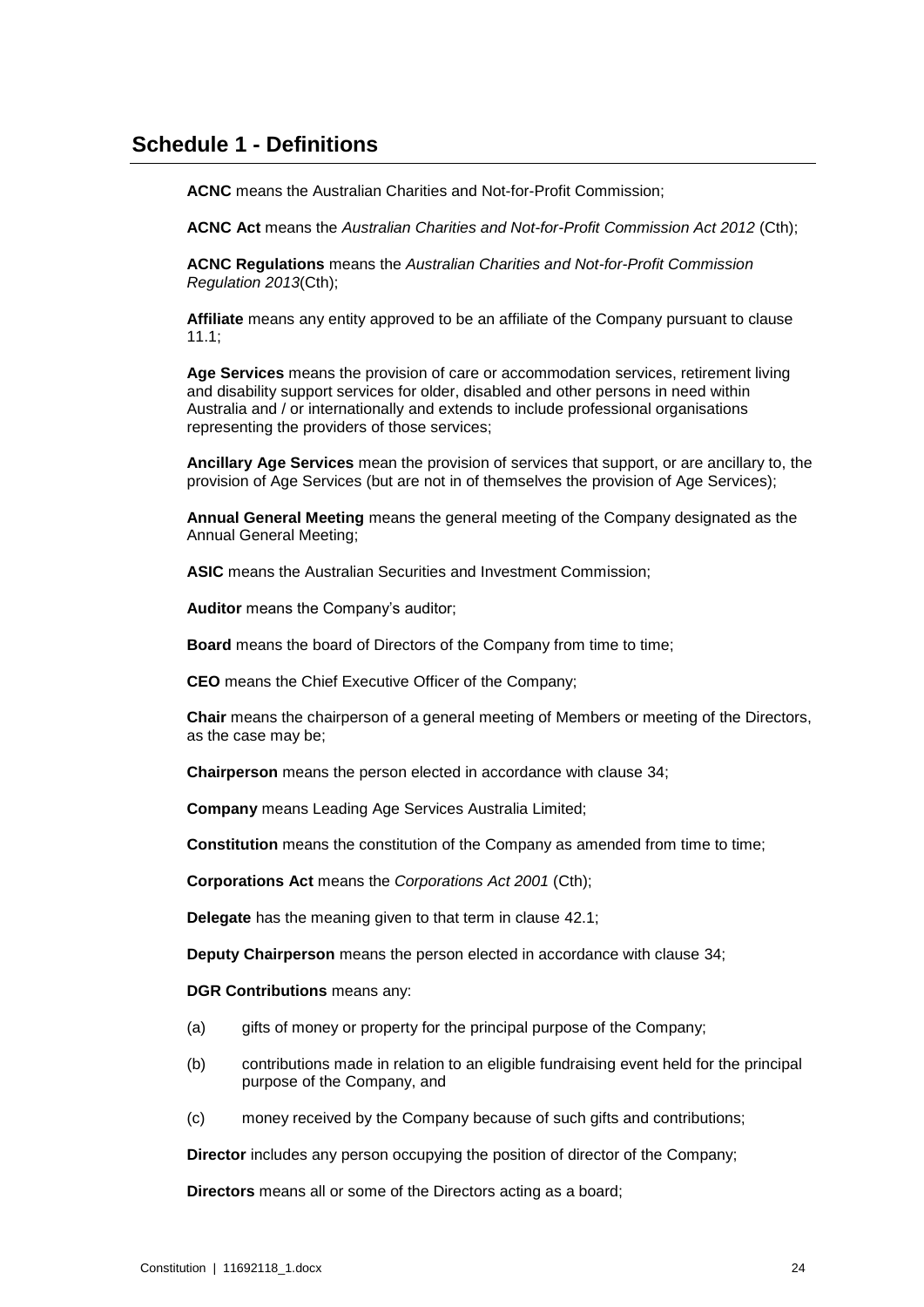#### **Schedule 1 - Definitions**

**ACNC** means the Australian Charities and Not-for-Profit Commission;

**ACNC Act** means the *Australian Charities and Not-for-Profit Commission Act 2012* (Cth);

**ACNC Regulations** means the *Australian Charities and Not-for-Profit Commission Regulation 2013*(Cth);

**Affiliate** means any entity approved to be an affiliate of the Company pursuant to clause [11.1;](#page-8-1)

**Age Services** means the provision of care or accommodation services, retirement living and disability support services for older, disabled and other persons in need within Australia and / or internationally and extends to include professional organisations representing the providers of those services;

**Ancillary Age Services** mean the provision of services that support, or are ancillary to, the provision of Age Services (but are not in of themselves the provision of Age Services);

**Annual General Meeting** means the general meeting of the Company designated as the Annual General Meeting;

**ASIC** means the Australian Securities and Investment Commission;

**Auditor** means the Company's auditor;

**Board** means the board of Directors of the Company from time to time;

**CEO** means the Chief Executive Officer of the Company;

**Chair** means the chairperson of a general meeting of Members or meeting of the Directors, as the case may be;

**Chairperson** means the person elected in accordance with clause [34;](#page-17-1)

**Company** means Leading Age Services Australia Limited;

**Constitution** means the constitution of the Company as amended from time to time;

**Corporations Act** means the *Corporations Act 2001* (Cth);

**Delegate** has the meaning given to that term in clause [42.1;](#page-21-0)

**Deputy Chairperson** means the person elected in accordance with clause [34;](#page-17-1)

**DGR Contributions** means any:

- (a) gifts of money or property for the principal purpose of the Company;
- (b) contributions made in relation to an eligible fundraising event held for the principal purpose of the Company, and
- (c) money received by the Company because of such gifts and contributions;

**Director** includes any person occupying the position of director of the Company;

**Directors** means all or some of the Directors acting as a board;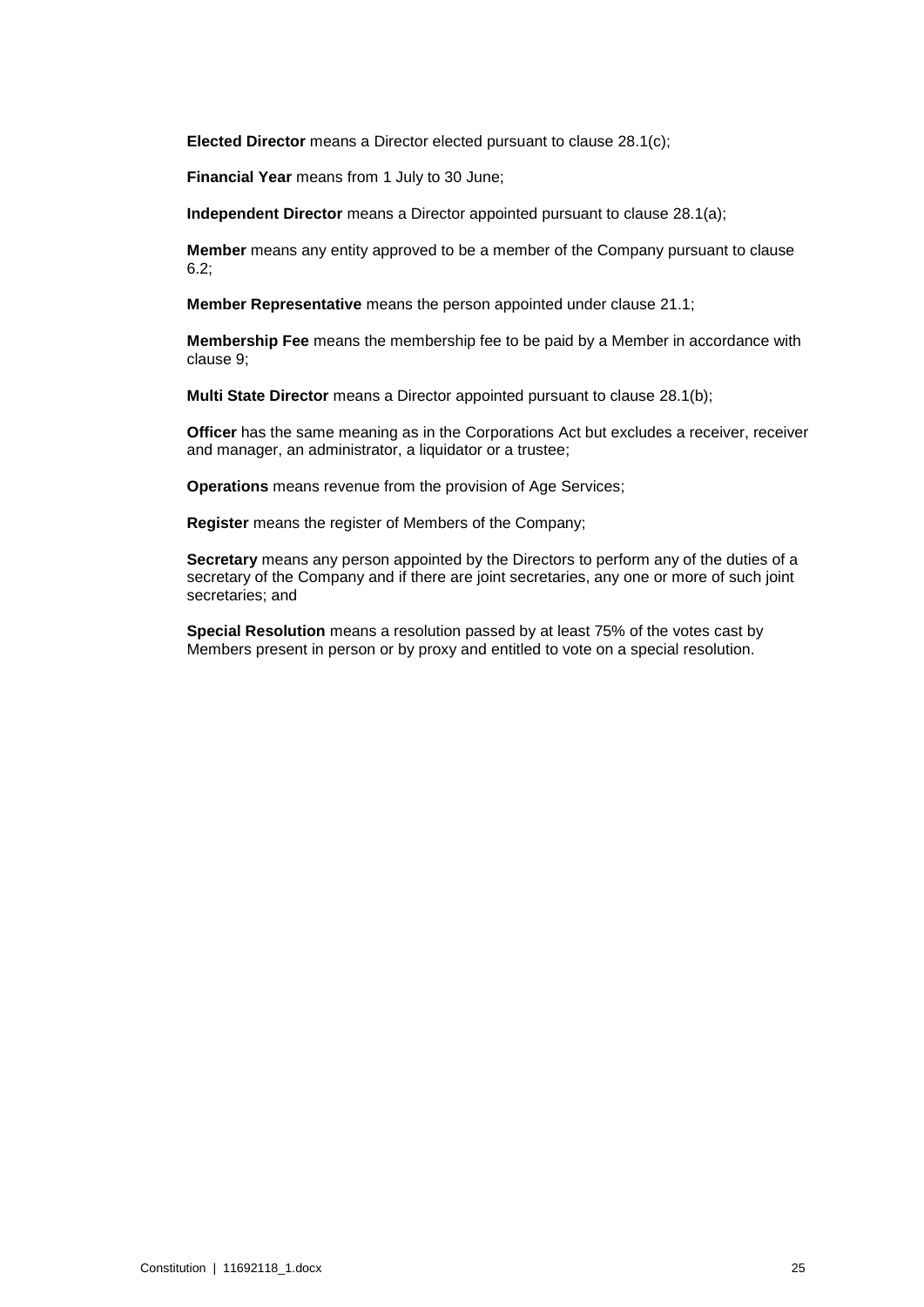**Elected Director** means a Director elected pursuant to clause [28.1\(c\);](#page-15-1)

**Financial Year** means from 1 July to 30 June;

**Independent Director** means a Director appointed pursuant to clause [28.1\(a\);](#page-15-2)

**Member** means any entity approved to be a member of the Company pursuant to clause [6.2;](#page-6-0)

**Member Representative** means the person appointed under clause [21.1;](#page-13-1)

**Membership Fee** means the membership fee to be paid by a Member in accordance with clause [9;](#page-7-1)

**Multi State Director** means a Director appointed pursuant to clause [28.1\(b\);](#page-15-4)

**Officer** has the same meaning as in the Corporations Act but excludes a receiver, receiver and manager, an administrator, a liquidator or a trustee;

**Operations** means revenue from the provision of Age Services;

**Register** means the register of Members of the Company;

**Secretary** means any person appointed by the Directors to perform any of the duties of a secretary of the Company and if there are joint secretaries, any one or more of such joint secretaries; and

**Special Resolution** means a resolution passed by at least 75% of the votes cast by Members present in person or by proxy and entitled to vote on a special resolution.